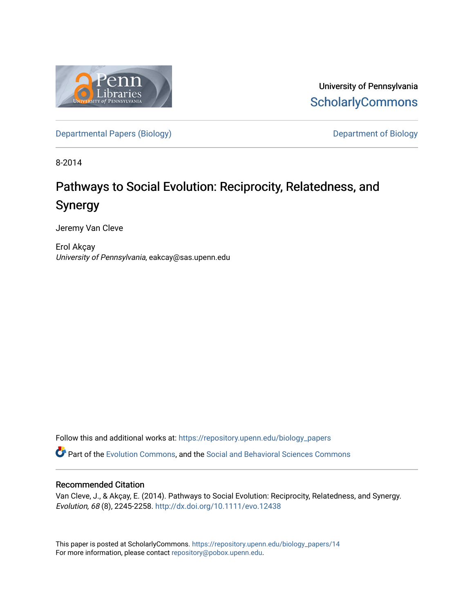

University of Pennsylvania **ScholarlyCommons** 

[Departmental Papers \(Biology\)](https://repository.upenn.edu/biology_papers) and Department of Biology

8-2014

# Pathways to Social Evolution: Reciprocity, Relatedness, and Synergy

Jeremy Van Cleve

Erol Akçay University of Pennsylvania, eakcay@sas.upenn.edu

Follow this and additional works at: [https://repository.upenn.edu/biology\\_papers](https://repository.upenn.edu/biology_papers?utm_source=repository.upenn.edu%2Fbiology_papers%2F14&utm_medium=PDF&utm_campaign=PDFCoverPages) 

Part of the [Evolution Commons,](http://network.bepress.com/hgg/discipline/18?utm_source=repository.upenn.edu%2Fbiology_papers%2F14&utm_medium=PDF&utm_campaign=PDFCoverPages) and the [Social and Behavioral Sciences Commons](http://network.bepress.com/hgg/discipline/316?utm_source=repository.upenn.edu%2Fbiology_papers%2F14&utm_medium=PDF&utm_campaign=PDFCoverPages) 

### Recommended Citation

Van Cleve, J., & Akçay, E. (2014). Pathways to Social Evolution: Reciprocity, Relatedness, and Synergy. Evolution, 68 (8), 2245-2258. <http://dx.doi.org/10.1111/evo.12438>

This paper is posted at ScholarlyCommons. [https://repository.upenn.edu/biology\\_papers/14](https://repository.upenn.edu/biology_papers/14) For more information, please contact [repository@pobox.upenn.edu.](mailto:repository@pobox.upenn.edu)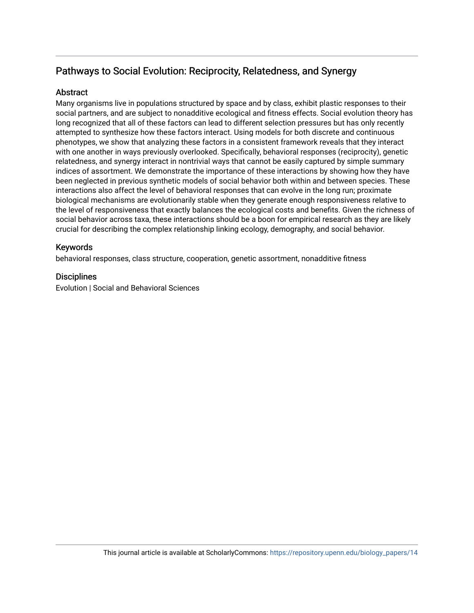## Pathways to Social Evolution: Reciprocity, Relatedness, and Synergy

## **Abstract**

Many organisms live in populations structured by space and by class, exhibit plastic responses to their social partners, and are subject to nonadditive ecological and fitness effects. Social evolution theory has long recognized that all of these factors can lead to different selection pressures but has only recently attempted to synthesize how these factors interact. Using models for both discrete and continuous phenotypes, we show that analyzing these factors in a consistent framework reveals that they interact with one another in ways previously overlooked. Specifically, behavioral responses (reciprocity), genetic relatedness, and synergy interact in nontrivial ways that cannot be easily captured by simple summary indices of assortment. We demonstrate the importance of these interactions by showing how they have been neglected in previous synthetic models of social behavior both within and between species. These interactions also affect the level of behavioral responses that can evolve in the long run; proximate biological mechanisms are evolutionarily stable when they generate enough responsiveness relative to the level of responsiveness that exactly balances the ecological costs and benefits. Given the richness of social behavior across taxa, these interactions should be a boon for empirical research as they are likely crucial for describing the complex relationship linking ecology, demography, and social behavior.

## Keywords

behavioral responses, class structure, cooperation, genetic assortment, nonadditive fitness

## **Disciplines**

Evolution | Social and Behavioral Sciences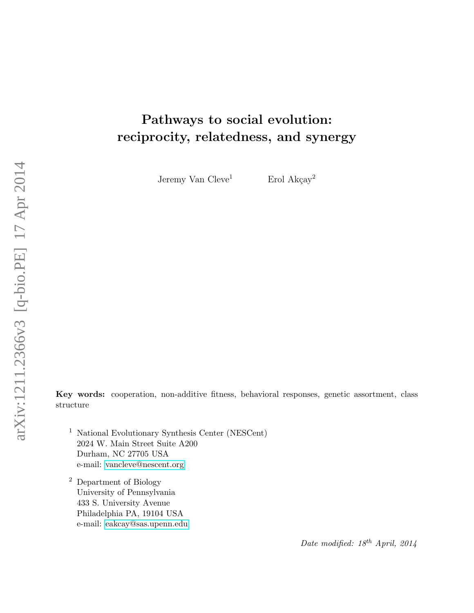# Pathways to social evolution: reciprocity, relatedness, and synergy

Jeremy Van  $C$ leve<sup>1</sup> Erol Akçay<sup>2</sup>

Key words: cooperation, non-additive fitness, behavioral responses, genetic assortment, class structure

- <sup>1</sup> National Evolutionary Synthesis Center (NESCent) 2024 W. Main Street Suite A200 Durham, NC 27705 USA e-mail: [vancleve@nescent.org](mailto:vancleve@nescent.org)
- <sup>2</sup> Department of Biology University of Pennsylvania 433 S. University Avenue Philadelphia PA, 19104 USA e-mail: [eakcay@sas.upenn.edu](mailto:eakcay@sas.upenn.edu)

Date modified:  $18^{th}$  April, 2014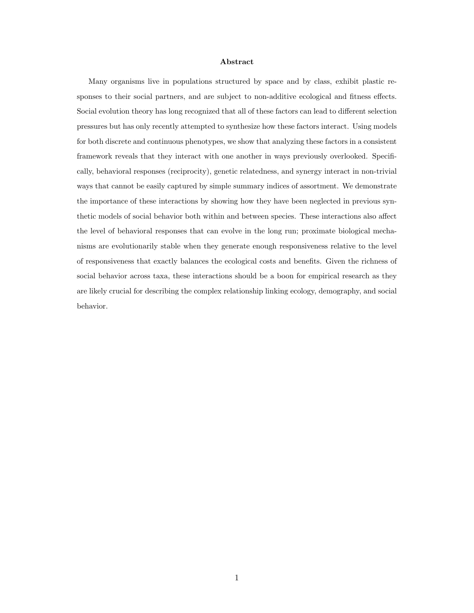#### Abstract

Many organisms live in populations structured by space and by class, exhibit plastic responses to their social partners, and are subject to non-additive ecological and fitness effects. Social evolution theory has long recognized that all of these factors can lead to different selection pressures but has only recently attempted to synthesize how these factors interact. Using models for both discrete and continuous phenotypes, we show that analyzing these factors in a consistent framework reveals that they interact with one another in ways previously overlooked. Specifically, behavioral responses (reciprocity), genetic relatedness, and synergy interact in non-trivial ways that cannot be easily captured by simple summary indices of assortment. We demonstrate the importance of these interactions by showing how they have been neglected in previous synthetic models of social behavior both within and between species. These interactions also affect the level of behavioral responses that can evolve in the long run; proximate biological mechanisms are evolutionarily stable when they generate enough responsiveness relative to the level of responsiveness that exactly balances the ecological costs and benefits. Given the richness of social behavior across taxa, these interactions should be a boon for empirical research as they are likely crucial for describing the complex relationship linking ecology, demography, and social behavior.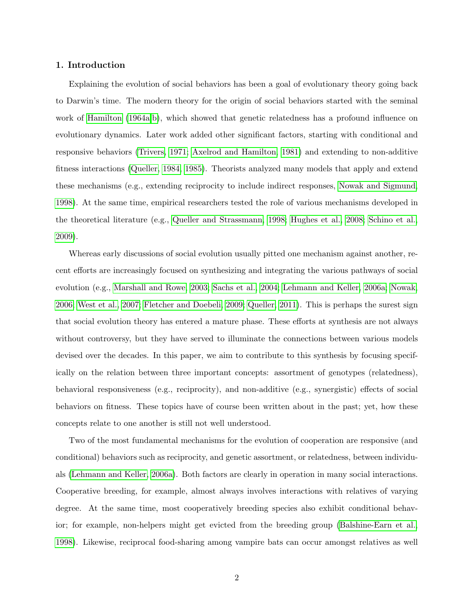#### 1. Introduction

Explaining the evolution of social behaviors has been a goal of evolutionary theory going back to Darwin's time. The modern theory for the origin of social behaviors started with the seminal work of [Hamilton](#page-29-0) [\(1964a,](#page-29-0)[b\)](#page-29-1), which showed that genetic relatedness has a profound influence on evolutionary dynamics. Later work added other significant factors, starting with conditional and responsive behaviors [\(Trivers, 1971;](#page-33-0) [Axelrod and Hamilton, 1981\)](#page-27-0) and extending to non-additive fitness interactions [\(Queller, 1984,](#page-31-0) [1985\)](#page-31-1). Theorists analyzed many models that apply and extend these mechanisms (e.g., extending reciprocity to include indirect responses, [Nowak and Sigmund,](#page-31-2) [1998\)](#page-31-2). At the same time, empirical researchers tested the role of various mechanisms developed in the theoretical literature (e.g., [Queller and Strassmann, 1998;](#page-32-0) [Hughes et al., 2008;](#page-29-2) [Schino et al.,](#page-32-1) [2009\)](#page-32-1).

Whereas early discussions of social evolution usually pitted one mechanism against another, recent efforts are increasingly focused on synthesizing and integrating the various pathways of social evolution (e.g., [Marshall and Rowe, 2003;](#page-30-0) [Sachs et al., 2004;](#page-32-2) [Lehmann and Keller, 2006a;](#page-30-1) [Nowak,](#page-31-3) [2006;](#page-31-3) [West et al., 2007;](#page-33-1) [Fletcher and Doebeli, 2009;](#page-28-0) [Queller, 2011\)](#page-32-3). This is perhaps the surest sign that social evolution theory has entered a mature phase. These efforts at synthesis are not always without controversy, but they have served to illuminate the connections between various models devised over the decades. In this paper, we aim to contribute to this synthesis by focusing specifically on the relation between three important concepts: assortment of genotypes (relatedness), behavioral responsiveness (e.g., reciprocity), and non-additive (e.g., synergistic) effects of social behaviors on fitness. These topics have of course been written about in the past; yet, how these concepts relate to one another is still not well understood.

Two of the most fundamental mechanisms for the evolution of cooperation are responsive (and conditional) behaviors such as reciprocity, and genetic assortment, or relatedness, between individuals [\(Lehmann and Keller, 2006a\)](#page-30-1). Both factors are clearly in operation in many social interactions. Cooperative breeding, for example, almost always involves interactions with relatives of varying degree. At the same time, most cooperatively breeding species also exhibit conditional behavior; for example, non-helpers might get evicted from the breeding group [\(Balshine-Earn et al.,](#page-27-1) [1998\)](#page-27-1). Likewise, reciprocal food-sharing among vampire bats can occur amongst relatives as well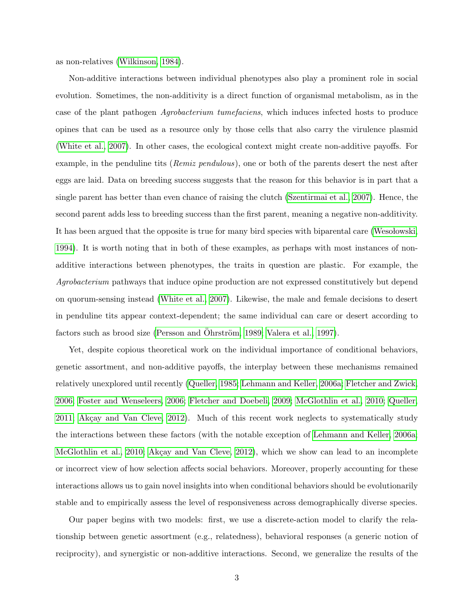as non-relatives [\(Wilkinson, 1984\)](#page-34-0).

Non-additive interactions between individual phenotypes also play a prominent role in social evolution. Sometimes, the non-additivity is a direct function of organismal metabolism, as in the case of the plant pathogen Agrobacterium tumefaciens, which induces infected hosts to produce opines that can be used as a resource only by those cells that also carry the virulence plasmid [\(White et al., 2007\)](#page-34-1). In other cases, the ecological context might create non-additive payoffs. For example, in the penduline tits (*Remiz pendulous*), one or both of the parents desert the nest after eggs are laid. Data on breeding success suggests that the reason for this behavior is in part that a single parent has better than even chance of raising the clutch [\(Szentirmai et al., 2007\)](#page-32-4). Hence, the second parent adds less to breeding success than the first parent, meaning a negative non-additivity. It has been argued that the opposite is true for many bird species with biparental care [\(Weso lowski,](#page-33-2) [1994\)](#page-33-2). It is worth noting that in both of these examples, as perhaps with most instances of nonadditive interactions between phenotypes, the traits in question are plastic. For example, the Agrobacterium pathways that induce opine production are not expressed constitutively but depend on quorum-sensing instead [\(White et al., 2007\)](#page-34-1). Likewise, the male and female decisions to desert in penduline tits appear context-dependent; the same individual can care or desert according to factors such as brood size [\(Persson and](#page-31-4) Ohrström, [1989;](#page-31-4) [Valera et al., 1997\)](#page-33-3).

Yet, despite copious theoretical work on the individual importance of conditional behaviors, genetic assortment, and non-additive payoffs, the interplay between these mechanisms remained relatively unexplored until recently [\(Queller, 1985;](#page-31-1) [Lehmann and Keller, 2006a;](#page-30-1) [Fletcher and Zwick,](#page-28-1) [2006;](#page-28-1) [Foster and Wenseleers, 2006;](#page-28-2) [Fletcher and Doebeli, 2009;](#page-28-0) [McGlothlin et al., 2010;](#page-30-2) [Queller,](#page-32-3) [2011;](#page-32-3) Akçay and Van Cleve, 2012). Much of this recent work neglects to systematically study the interactions between these factors (with the notable exception of [Lehmann and Keller, 2006a;](#page-30-1) [McGlothlin et al., 2010;](#page-30-2) Akçay and Van Cleve, 2012), which we show can lead to an incomplete or incorrect view of how selection affects social behaviors. Moreover, properly accounting for these interactions allows us to gain novel insights into when conditional behaviors should be evolutionarily stable and to empirically assess the level of responsiveness across demographically diverse species.

Our paper begins with two models: first, we use a discrete-action model to clarify the relationship between genetic assortment (e.g., relatedness), behavioral responses (a generic notion of reciprocity), and synergistic or non-additive interactions. Second, we generalize the results of the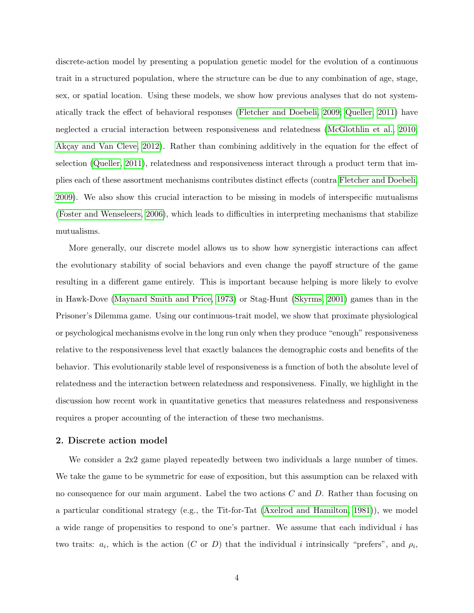discrete-action model by presenting a population genetic model for the evolution of a continuous trait in a structured population, where the structure can be due to any combination of age, stage, sex, or spatial location. Using these models, we show how previous analyses that do not systematically track the effect of behavioral responses [\(Fletcher and Doebeli, 2009;](#page-28-0) [Queller, 2011\)](#page-32-3) have neglected a crucial interaction between responsiveness and relatedness [\(McGlothlin et al., 2010;](#page-30-2) Akçay and Van Cleve, 2012). Rather than combining additively in the equation for the effect of selection [\(Queller, 2011\)](#page-32-3), relatedness and responsiveness interact through a product term that implies each of these assortment mechanisms contributes distinct effects (contra [Fletcher and Doebeli,](#page-28-0) [2009\)](#page-28-0). We also show this crucial interaction to be missing in models of interspecific mutualisms [\(Foster and Wenseleers, 2006\)](#page-28-2), which leads to difficulties in interpreting mechanisms that stabilize mutualisms.

More generally, our discrete model allows us to show how synergistic interactions can affect the evolutionary stability of social behaviors and even change the payoff structure of the game resulting in a different game entirely. This is important because helping is more likely to evolve in Hawk-Dove [\(Maynard Smith and Price, 1973\)](#page-30-3) or Stag-Hunt [\(Skyrms, 2001\)](#page-32-5) games than in the Prisoner's Dilemma game. Using our continuous-trait model, we show that proximate physiological or psychological mechanisms evolve in the long run only when they produce "enough" responsiveness relative to the responsiveness level that exactly balances the demographic costs and benefits of the behavior. This evolutionarily stable level of responsiveness is a function of both the absolute level of relatedness and the interaction between relatedness and responsiveness. Finally, we highlight in the discussion how recent work in quantitative genetics that measures relatedness and responsiveness requires a proper accounting of the interaction of these two mechanisms.

#### <span id="page-6-0"></span>2. Discrete action model

We consider a 2x2 game played repeatedly between two individuals a large number of times. We take the game to be symmetric for ease of exposition, but this assumption can be relaxed with no consequence for our main argument. Label the two actions C and D. Rather than focusing on a particular conditional strategy (e.g., the Tit-for-Tat [\(Axelrod and Hamilton, 1981\)](#page-27-0)), we model a wide range of propensities to respond to one's partner. We assume that each individual i has two traits:  $a_i$ , which is the action (C or D) that the individual i intrinsically "prefers", and  $\rho_i$ ,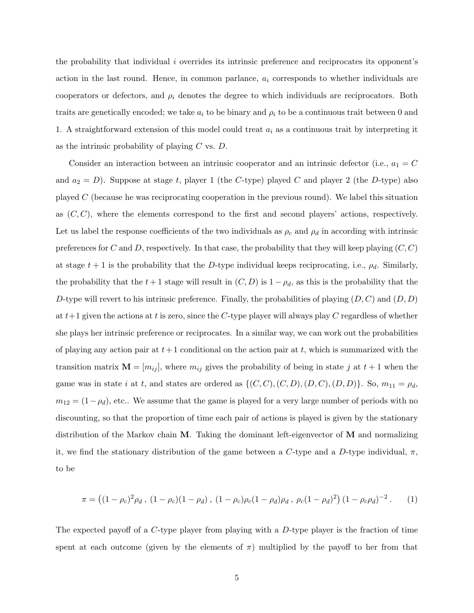the probability that individual i overrides its intrinsic preference and reciprocates its opponent's action in the last round. Hence, in common parlance,  $a_i$  corresponds to whether individuals are cooperators or defectors, and  $\rho_i$  denotes the degree to which individuals are reciprocators. Both traits are genetically encoded; we take  $a_i$  to be binary and  $\rho_i$  to be a continuous trait between 0 and 1. A straightforward extension of this model could treat  $a_i$  as a continuous trait by interpreting it as the intrinsic probability of playing  $C$  vs.  $D$ .

Consider an interaction between an intrinsic cooperator and an intrinsic defector (i.e.,  $a_1 = C$ and  $a_2 = D$ ). Suppose at stage t, player 1 (the C-type) played C and player 2 (the D-type) also played C (because he was reciprocating cooperation in the previous round). We label this situation as  $(C, C)$ , where the elements correspond to the first and second players' actions, respectively. Let us label the response coefficients of the two individuals as  $\rho_c$  and  $\rho_d$  in according with intrinsic preferences for C and D, respectively. In that case, the probability that they will keep playing  $(C, C)$ at stage  $t + 1$  is the probability that the D-type individual keeps reciprocating, i.e.,  $\rho_d$ . Similarly, the probability that the  $t + 1$  stage will result in  $(C, D)$  is  $1 - \rho_d$ , as this is the probability that the D-type will revert to his intrinsic preference. Finally, the probabilities of playing  $(D, C)$  and  $(D, D)$ at  $t+1$  given the actions at t is zero, since the C-type player will always play C regardless of whether she plays her intrinsic preference or reciprocates. In a similar way, we can work out the probabilities of playing any action pair at  $t+1$  conditional on the action pair at t, which is summarized with the transition matrix  $\mathbf{M} = [m_{ij}]$ , where  $m_{ij}$  gives the probability of being in state j at  $t + 1$  when the game was in state i at t, and states are ordered as  $\{(C, C), (C, D), (D, C), (D, D)\}.$  So,  $m_{11} = \rho_d$ ,  $m_{12} = (1 - \rho_d)$ , etc.. We assume that the game is played for a very large number of periods with no discounting, so that the proportion of time each pair of actions is played is given by the stationary distribution of the Markov chain  $M$ . Taking the dominant left-eigenvector of  $M$  and normalizing it, we find the stationary distribution of the game between a C-type and a D-type individual,  $\pi$ , to be

<span id="page-7-0"></span>
$$
\pi = ((1 - \rho_c)^2 \rho_d, (1 - \rho_c)(1 - \rho_d), (1 - \rho_c)\rho_c(1 - \rho_d)\rho_d, \rho_c(1 - \rho_d)^2) (1 - \rho_c\rho_d)^{-2}.
$$
 (1)

The expected payoff of a  $C$ -type player from playing with a  $D$ -type player is the fraction of time spent at each outcome (given by the elements of  $\pi$ ) multiplied by the payoff to her from that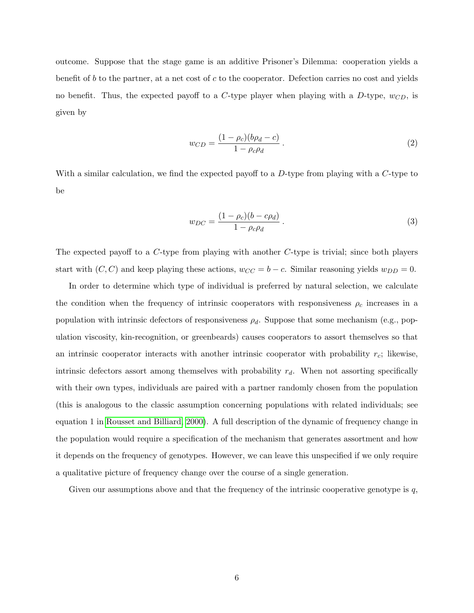outcome. Suppose that the stage game is an additive Prisoner's Dilemma: cooperation yields a benefit of b to the partner, at a net cost of c to the cooperator. Defection carries no cost and yields no benefit. Thus, the expected payoff to a C-type player when playing with a D-type,  $w_{CD}$ , is given by

$$
w_{CD} = \frac{(1 - \rho_c)(b\rho_d - c)}{1 - \rho_c \rho_d} \,. \tag{2}
$$

With a similar calculation, we find the expected payoff to a  $D$ -type from playing with a  $C$ -type to be

$$
w_{DC} = \frac{(1 - \rho_c)(b - c\rho_d)}{1 - \rho_c \rho_d}.
$$
\n(3)

The expected payoff to a C-type from playing with another C-type is trivial; since both players start with  $(C, C)$  and keep playing these actions,  $w_{CC} = b - c$ . Similar reasoning yields  $w_{DD} = 0$ .

In order to determine which type of individual is preferred by natural selection, we calculate the condition when the frequency of intrinsic cooperators with responsiveness  $\rho_c$  increases in a population with intrinsic defectors of responsiveness  $\rho_d$ . Suppose that some mechanism (e.g., population viscosity, kin-recognition, or greenbeards) causes cooperators to assort themselves so that an intrinsic cooperator interacts with another intrinsic cooperator with probability  $r_c$ ; likewise, intrinsic defectors assort among themselves with probability  $r_d$ . When not assorting specifically with their own types, individuals are paired with a partner randomly chosen from the population (this is analogous to the classic assumption concerning populations with related individuals; see equation 1 in [Rousset and Billiard, 2000\)](#page-32-6). A full description of the dynamic of frequency change in the population would require a specification of the mechanism that generates assortment and how it depends on the frequency of genotypes. However, we can leave this unspecified if we only require a qualitative picture of frequency change over the course of a single generation.

Given our assumptions above and that the frequency of the intrinsic cooperative genotype is  $q$ ,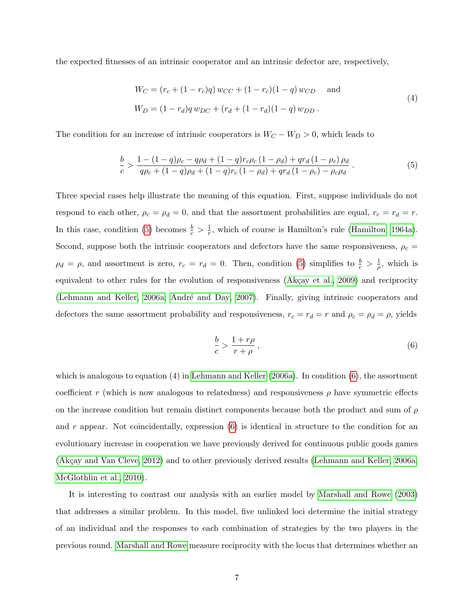the expected fitnesses of an intrinsic cooperator and an intrinsic defector are, respectively,

<span id="page-9-2"></span>
$$
W_C = (r_c + (1 - r_c)q) w_{CC} + (1 - r_c)(1 - q) w_{CD}
$$
 and  

$$
W_D = (1 - r_d)q w_{DC} + (r_d + (1 - r_d)(1 - q) w_{DD}.
$$
 (4)

The condition for an increase of intrinsic cooperators is  $W_C - W_D > 0$ , which leads to

$$
\frac{b}{c} > \frac{1 - (1 - q)\rho_c - q\rho_d + (1 - q)r_c\rho_c(1 - \rho_d) + qr_d(1 - \rho_c)\rho_d}{q\rho_c + (1 - q)\rho_d + (1 - q)r_c(1 - \rho_d) + qr_d(1 - \rho_c) - \rho_c\rho_d}.
$$
\n(5)

Three special cases help illustrate the meaning of this equation. First, suppose individuals do not respond to each other,  $\rho_c = \rho_d = 0$ , and that the assortment probabilities are equal,  $r_c = r_d = r$ . In this case, condition [\(5\)](#page-9-0) becomes  $\frac{b}{c} > \frac{1}{r}$  $\frac{1}{r}$ , which of course is Hamilton's rule [\(Hamilton, 1964a\)](#page-29-0). Second, suppose both the intrinsic cooperators and defectors have the same responsiveness,  $\rho_c$  =  $\rho_d = \rho$ , and assortment is zero,  $r_c = r_d = 0$ . Then, condition [\(5\)](#page-9-0) simplifies to  $\frac{b}{c} > \frac{1}{\rho}$  $\frac{1}{\rho}$ , which is equivalent to other rules for the evolution of responsiveness (Akçay et al., 2009) and reciprocity [\(Lehmann and Keller, 2006a;](#page-30-1) André and Day, 2007). Finally, giving intrinsic cooperators and defectors the same assortment probability and responsiveness,  $r_c = r_d = r$  and  $\rho_c = \rho_d = \rho$ , yields

<span id="page-9-1"></span><span id="page-9-0"></span>
$$
\frac{b}{c} > \frac{1+r\rho}{r+\rho} \,,\tag{6}
$$

which is analogous to equation  $(4)$  in [Lehmann and Keller](#page-30-1)  $(2006a)$ . In condition  $(6)$ , the assortment coefficient r (which is now analogous to relatedness) and responsiveness  $\rho$  have symmetric effects on the increase condition but remain distinct components because both the product and sum of  $\rho$ and r appear. Not coincidentally, expression  $(6)$  is identical in structure to the condition for an evolutionary increase in cooperation we have previously derived for continuous public goods games (Akçay and Van Cleve, 2012) and to other previously derived results [\(Lehmann and Keller, 2006a;](#page-30-1) [McGlothlin et al., 2010\)](#page-30-2).

It is interesting to contrast our analysis with an earlier model by [Marshall and Rowe](#page-30-0) [\(2003\)](#page-30-0) that addresses a similar problem. In this model, five unlinked loci determine the initial strategy of an individual and the responses to each combination of strategies by the two players in the previous round. [Marshall and Rowe](#page-30-0) measure reciprocity with the locus that determines whether an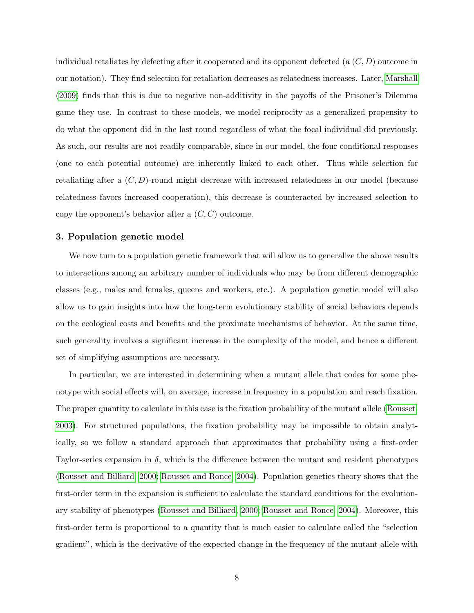individual retaliates by defecting after it cooperated and its opponent defected (a  $(C, D)$ ) outcome in our notation). They find selection for retaliation decreases as relatedness increases. Later, [Marshall](#page-30-4) [\(2009\)](#page-30-4) finds that this is due to negative non-additivity in the payoffs of the Prisoner's Dilemma game they use. In contrast to these models, we model reciprocity as a generalized propensity to do what the opponent did in the last round regardless of what the focal individual did previously. As such, our results are not readily comparable, since in our model, the four conditional responses (one to each potential outcome) are inherently linked to each other. Thus while selection for retaliating after a  $(C, D)$ -round might decrease with increased relatedness in our model (because relatedness favors increased cooperation), this decrease is counteracted by increased selection to copy the opponent's behavior after a  $(C, C)$  outcome.

#### <span id="page-10-0"></span>3. Population genetic model

We now turn to a population genetic framework that will allow us to generalize the above results to interactions among an arbitrary number of individuals who may be from different demographic classes (e.g., males and females, queens and workers, etc.). A population genetic model will also allow us to gain insights into how the long-term evolutionary stability of social behaviors depends on the ecological costs and benefits and the proximate mechanisms of behavior. At the same time, such generality involves a significant increase in the complexity of the model, and hence a different set of simplifying assumptions are necessary.

In particular, we are interested in determining when a mutant allele that codes for some phenotype with social effects will, on average, increase in frequency in a population and reach fixation. The proper quantity to calculate in this case is the fixation probability of the mutant allele [\(Rousset,](#page-32-7) [2003\)](#page-32-7). For structured populations, the fixation probability may be impossible to obtain analytically, so we follow a standard approach that approximates that probability using a first-order Taylor-series expansion in  $\delta$ , which is the difference between the mutant and resident phenotypes [\(Rousset and Billiard, 2000;](#page-32-6) [Rousset and Ronce, 2004\)](#page-32-8). Population genetics theory shows that the first-order term in the expansion is sufficient to calculate the standard conditions for the evolutionary stability of phenotypes [\(Rousset and Billiard, 2000;](#page-32-6) [Rousset and Ronce, 2004\)](#page-32-8). Moreover, this first-order term is proportional to a quantity that is much easier to calculate called the "selection gradient", which is the derivative of the expected change in the frequency of the mutant allele with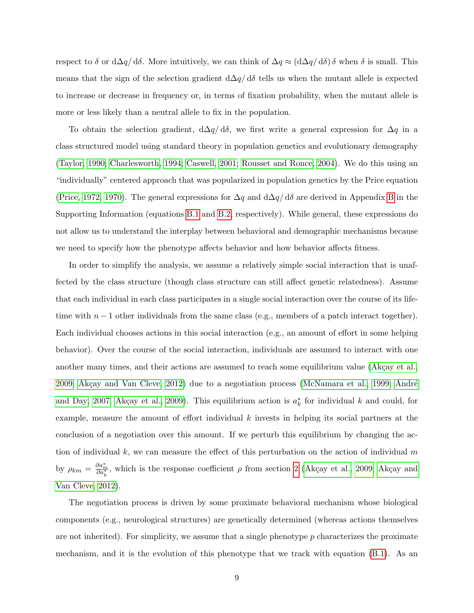respect to  $\delta$  or  $d\Delta q/d\delta$ . More intuitively, we can think of  $\Delta q \approx (d\Delta q/d\delta) \delta$  when  $\delta$  is small. This means that the sign of the selection gradient  $d\Delta q/d\delta$  tells us when the mutant allele is expected to increase or decrease in frequency or, in terms of fixation probability, when the mutant allele is more or less likely than a neutral allele to fix in the population.

To obtain the selection gradient,  $d\Delta q/d\delta$ , we first write a general expression for  $\Delta q$  in a class structured model using standard theory in population genetics and evolutionary demography [\(Taylor, 1990;](#page-33-4) [Charlesworth, 1994;](#page-28-3) [Caswell, 2001;](#page-28-4) [Rousset and Ronce, 2004\)](#page-32-8). We do this using an "individually" centered approach that was popularized in population genetics by the Price equation [\(Price, 1972,](#page-31-5) [1970\)](#page-31-6). The general expressions for  $\Delta q$  and  $d\Delta q/d\delta$  are derived in Appendix [B](#page-37-0) in the Supporting Information (equations [B.1](#page-37-1) and [B.2,](#page-37-2) respectively). While general, these expressions do not allow us to understand the interplay between behavioral and demographic mechanisms because we need to specify how the phenotype affects behavior and how behavior affects fitness.

In order to simplify the analysis, we assume a relatively simple social interaction that is unaffected by the class structure (though class structure can still affect genetic relatedness). Assume that each individual in each class participates in a single social interaction over the course of its lifetime with  $n-1$  other individuals from the same class (e.g., members of a patch interact together). Each individual chooses actions in this social interaction (e.g., an amount of effort in some helping behavior). Over the course of the social interaction, individuals are assumed to interact with one another many times, and their actions are assumed to reach some equilibrium value (Akçay et al.,  $2009$ ; Akçay and Van Cleve,  $2012$ ) due to a negotiation process [\(McNamara et al., 1999;](#page-30-5) André [and Day, 2007;](#page-27-4) Akçay et al., 2009). This equilibrium action is  $a_k^*$  for individual k and could, for example, measure the amount of effort individual  $k$  invests in helping its social partners at the conclusion of a negotiation over this amount. If we perturb this equilibrium by changing the action of individual  $k$ , we can measure the effect of this perturbation on the action of individual  $m$ by  $\rho_{km} = \frac{\partial a_m^*}{\partial a_k^*}$ , which is the response coefficient  $\rho$  from section [2](#page-6-0) (Akçay et al., 2009; Akçay and [Van Cleve, 2012\)](#page-27-2).

The negotiation process is driven by some proximate behavioral mechanism whose biological components (e.g., neurological structures) are genetically determined (whereas actions themselves are not inherited). For simplicity, we assume that a single phenotype p characterizes the proximate mechanism, and it is the evolution of this phenotype that we track with equation [\(B.1\)](#page-37-1). As an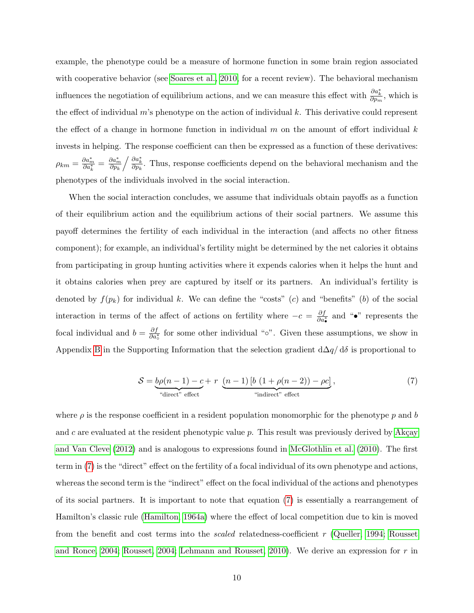example, the phenotype could be a measure of hormone function in some brain region associated with cooperative behavior (see [Soares et al., 2010,](#page-32-9) for a recent review). The behavioral mechanism influences the negotiation of equilibrium actions, and we can measure this effect with  $\frac{\partial a_k^*}{\partial p_m}$ , which is the effect of individual m's phenotype on the action of individual k. This derivative could represent the effect of a change in hormone function in individual m on the amount of effort individual  $k$ invests in helping. The response coefficient can then be expressed as a function of these derivatives:  $\rho_{km}=\frac{\partial a_m^*}{\partial a_k^*}=\frac{\partial a_m^*}{\partial p_k}$  $\partial p_k$  $\frac{\partial a_k^*}{\partial p_k}$ . Thus, response coefficients depend on the behavioral mechanism and the phenotypes of the individuals involved in the social interaction.

When the social interaction concludes, we assume that individuals obtain payoffs as a function of their equilibrium action and the equilibrium actions of their social partners. We assume this payoff determines the fertility of each individual in the interaction (and affects no other fitness component); for example, an individual's fertility might be determined by the net calories it obtains from participating in group hunting activities where it expends calories when it helps the hunt and it obtains calories when prey are captured by itself or its partners. An individual's fertility is denoted by  $f(p_k)$  for individual k. We can define the "costs" (c) and "benefits" (b) of the social interaction in terms of the affect of actions on fertility where  $-c = \frac{\partial f}{\partial a_{\bullet}^*}$  and "•" represents the focal individual and  $b = \frac{\partial f}{\partial a_o^*}$  for some other individual "∘". Given these assumptions, we show in Appendix [B](#page-37-0) in the Supporting Information that the selection gradient  $d\Delta q/d\delta$  is proportional to

<span id="page-12-0"></span>
$$
S = \underbrace{b\rho(n-1) - c}_{\text{``direct'' effect}} + r \underbrace{(n-1) [b (1 + \rho(n-2)) - \rho c]}_{\text{``indirect'' effect}},
$$
\n
$$
(7)
$$

where  $\rho$  is the response coefficient in a resident population monomorphic for the phenotype p and b and c are evaluated at the resident phenotypic value  $p$ . This result was previously derived by Akçay [and Van Cleve](#page-27-2) [\(2012\)](#page-27-2) and is analogous to expressions found in [McGlothlin et al.](#page-30-2) [\(2010\)](#page-30-2). The first term in [\(7\)](#page-12-0) is the "direct" effect on the fertility of a focal individual of its own phenotype and actions, whereas the second term is the "indirect" effect on the focal individual of the actions and phenotypes of its social partners. It is important to note that equation [\(7\)](#page-12-0) is essentially a rearrangement of Hamilton's classic rule [\(Hamilton, 1964a\)](#page-29-0) where the effect of local competition due to kin is moved from the benefit and cost terms into the scaled relatedness-coefficient r [\(Queller, 1994;](#page-31-7) [Rousset](#page-32-8) [and Ronce, 2004;](#page-32-8) [Rousset, 2004;](#page-32-10) [Lehmann and Rousset, 2010\)](#page-30-6). We derive an expression for  $r$  in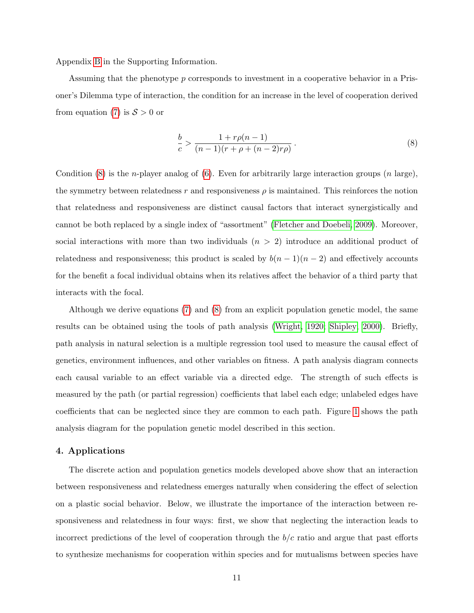Appendix [B](#page-37-0) in the Supporting Information.

Assuming that the phenotype p corresponds to investment in a cooperative behavior in a Prisoner's Dilemma type of interaction, the condition for an increase in the level of cooperation derived from equation [\(7\)](#page-12-0) is  $S > 0$  or

<span id="page-13-0"></span>
$$
\frac{b}{c} > \frac{1 + r\rho(n-1)}{(n-1)(r + \rho + (n-2)r\rho)}.
$$
\n(8)

Condition [\(8\)](#page-13-0) is the *n*-player analog of [\(6\)](#page-9-1). Even for arbitrarily large interaction groups (*n* large), the symmetry between relatedness r and responsiveness  $\rho$  is maintained. This reinforces the notion that relatedness and responsiveness are distinct causal factors that interact synergistically and cannot be both replaced by a single index of "assortment" [\(Fletcher and Doebeli, 2009\)](#page-28-0). Moreover, social interactions with more than two individuals  $(n > 2)$  introduce an additional product of relatedness and responsiveness; this product is scaled by  $b(n - 1)(n - 2)$  and effectively accounts for the benefit a focal individual obtains when its relatives affect the behavior of a third party that interacts with the focal.

Although we derive equations [\(7\)](#page-12-0) and [\(8\)](#page-13-0) from an explicit population genetic model, the same results can be obtained using the tools of path analysis [\(Wright, 1920;](#page-34-2) [Shipley, 2000\)](#page-32-11). Briefly, path analysis in natural selection is a multiple regression tool used to measure the causal effect of genetics, environment influences, and other variables on fitness. A path analysis diagram connects each causal variable to an effect variable via a directed edge. The strength of such effects is measured by the path (or partial regression) coefficients that label each edge; unlabeled edges have coefficients that can be neglected since they are common to each path. Figure [1](#page-45-0) shows the path analysis diagram for the population genetic model described in this section.

#### 4. Applications

The discrete action and population genetics models developed above show that an interaction between responsiveness and relatedness emerges naturally when considering the effect of selection on a plastic social behavior. Below, we illustrate the importance of the interaction between responsiveness and relatedness in four ways: first, we show that neglecting the interaction leads to incorrect predictions of the level of cooperation through the  $b/c$  ratio and argue that past efforts to synthesize mechanisms for cooperation within species and for mutualisms between species have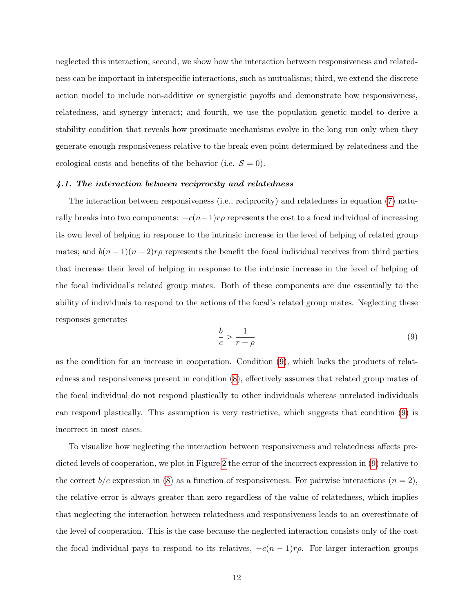neglected this interaction; second, we show how the interaction between responsiveness and relatedness can be important in interspecific interactions, such as mutualisms; third, we extend the discrete action model to include non-additive or synergistic payoffs and demonstrate how responsiveness, relatedness, and synergy interact; and fourth, we use the population genetic model to derive a stability condition that reveals how proximate mechanisms evolve in the long run only when they generate enough responsiveness relative to the break even point determined by relatedness and the ecological costs and benefits of the behavior (i.e.  $\mathcal{S} = 0$ ).

#### 4.1. The interaction between reciprocity and relatedness

The interaction between responsiveness (i.e., reciprocity) and relatedness in equation [\(7\)](#page-12-0) naturally breaks into two components:  $-c(n-1)r\rho$  represents the cost to a focal individual of increasing its own level of helping in response to the intrinsic increase in the level of helping of related group mates; and  $b(n-1)(n-2)r\rho$  represents the benefit the focal individual receives from third parties that increase their level of helping in response to the intrinsic increase in the level of helping of the focal individual's related group mates. Both of these components are due essentially to the ability of individuals to respond to the actions of the focal's related group mates. Neglecting these responses generates

<span id="page-14-0"></span>
$$
\frac{b}{c} > \frac{1}{r+\rho} \tag{9}
$$

as the condition for an increase in cooperation. Condition [\(9\)](#page-14-0), which lacks the products of relatedness and responsiveness present in condition [\(8\)](#page-13-0), effectively assumes that related group mates of the focal individual do not respond plastically to other individuals whereas unrelated individuals can respond plastically. This assumption is very restrictive, which suggests that condition [\(9\)](#page-14-0) is incorrect in most cases.

To visualize how neglecting the interaction between responsiveness and relatedness affects predicted levels of cooperation, we plot in Figure [2](#page-46-0) the error of the incorrect expression in [\(9\)](#page-14-0) relative to the correct  $b/c$  expression in [\(8\)](#page-13-0) as a function of responsiveness. For pairwise interactions  $(n = 2)$ , the relative error is always greater than zero regardless of the value of relatedness, which implies that neglecting the interaction between relatedness and responsiveness leads to an overestimate of the level of cooperation. This is the case because the neglected interaction consists only of the cost the focal individual pays to respond to its relatives,  $-c(n-1)r\rho$ . For larger interaction groups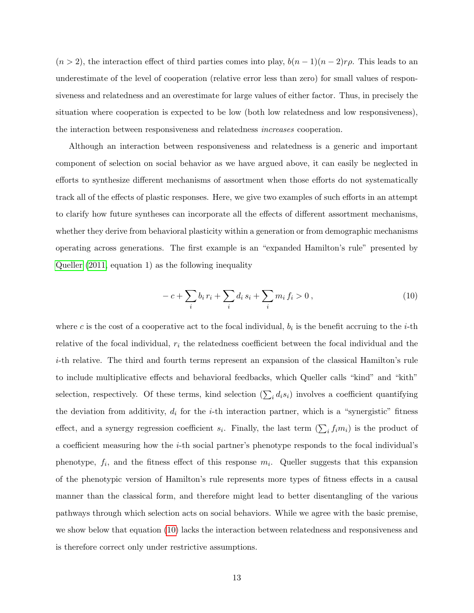$(n > 2)$ , the interaction effect of third parties comes into play,  $b(n - 1)(n - 2)r\rho$ . This leads to an underestimate of the level of cooperation (relative error less than zero) for small values of responsiveness and relatedness and an overestimate for large values of either factor. Thus, in precisely the situation where cooperation is expected to be low (both low relatedness and low responsiveness), the interaction between responsiveness and relatedness increases cooperation.

Although an interaction between responsiveness and relatedness is a generic and important component of selection on social behavior as we have argued above, it can easily be neglected in efforts to synthesize different mechanisms of assortment when those efforts do not systematically track all of the effects of plastic responses. Here, we give two examples of such efforts in an attempt to clarify how future syntheses can incorporate all the effects of different assortment mechanisms, whether they derive from behavioral plasticity within a generation or from demographic mechanisms operating across generations. The first example is an "expanded Hamilton's rule" presented by [Queller](#page-32-3) [\(2011,](#page-32-3) equation 1) as the following inequality

<span id="page-15-0"></span>
$$
-c + \sum_{i} b_i r_i + \sum_{i} d_i s_i + \sum_{i} m_i f_i > 0,
$$
\n(10)

where c is the cost of a cooperative act to the focal individual,  $b_i$  is the benefit accruing to the *i*-th relative of the focal individual,  $r_i$  the relatedness coefficient between the focal individual and the i-th relative. The third and fourth terms represent an expansion of the classical Hamilton's rule to include multiplicative effects and behavioral feedbacks, which Queller calls "kind" and "kith" selection, respectively. Of these terms, kind selection  $(\sum_i d_i s_i)$  involves a coefficient quantifying the deviation from additivity,  $d_i$  for the *i*-th interaction partner, which is a "synergistic" fitness effect, and a synergy regression coefficient  $s_i$ . Finally, the last term  $(\sum_i f_i m_i)$  is the product of a coefficient measuring how the i-th social partner's phenotype responds to the focal individual's phenotype,  $f_i$ , and the fitness effect of this response  $m_i$ . Queller suggests that this expansion of the phenotypic version of Hamilton's rule represents more types of fitness effects in a causal manner than the classical form, and therefore might lead to better disentangling of the various pathways through which selection acts on social behaviors. While we agree with the basic premise, we show below that equation [\(10\)](#page-15-0) lacks the interaction between relatedness and responsiveness and is therefore correct only under restrictive assumptions.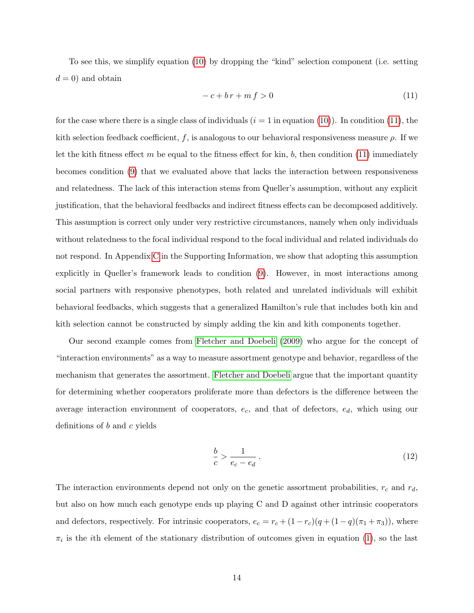To see this, we simplify equation [\(10\)](#page-15-0) by dropping the "kind" selection component (i.e. setting  $d = 0$ ) and obtain

<span id="page-16-0"></span>
$$
-c + br + mf > 0 \tag{11}
$$

for the case where there is a single class of individuals  $(i = 1$  in equation [\(10\)](#page-15-0)). In condition [\(11\)](#page-16-0), the kith selection feedback coefficient, f, is analogous to our behavioral responsiveness measure  $\rho$ . If we let the kith fitness effect m be equal to the fitness effect for kin, b, then condition  $(11)$  immediately becomes condition [\(9\)](#page-14-0) that we evaluated above that lacks the interaction between responsiveness and relatedness. The lack of this interaction stems from Queller's assumption, without any explicit justification, that the behavioral feedbacks and indirect fitness effects can be decomposed additively. This assumption is correct only under very restrictive circumstances, namely when only individuals without relatedness to the focal individual respond to the focal individual and related individuals do not respond. In Appendix [C](#page-40-0) in the Supporting Information, we show that adopting this assumption explicitly in Queller's framework leads to condition [\(9\)](#page-14-0). However, in most interactions among social partners with responsive phenotypes, both related and unrelated individuals will exhibit behavioral feedbacks, which suggests that a generalized Hamilton's rule that includes both kin and kith selection cannot be constructed by simply adding the kin and kith components together.

Our second example comes from [Fletcher and Doebeli](#page-28-0) [\(2009\)](#page-28-0) who argue for the concept of "interaction environments" as a way to measure assortment genotype and behavior, regardless of the mechanism that generates the assortment. [Fletcher and Doebeli](#page-28-0) argue that the important quantity for determining whether cooperators proliferate more than defectors is the difference between the average interaction environment of cooperators,  $e_c$ , and that of defectors,  $e_d$ , which using our definitions of b and c yields

<span id="page-16-1"></span>
$$
\frac{b}{c} > \frac{1}{e_c - e_d} \,. \tag{12}
$$

The interaction environments depend not only on the genetic assortment probabilities,  $r_c$  and  $r_d$ , but also on how much each genotype ends up playing C and D against other intrinsic cooperators and defectors, respectively. For intrinsic cooperators,  $e_c = r_c + (1 - r_c)(q + (1 - q)(\pi_1 + \pi_3))$ , where  $\pi_i$  is the *i*th element of the stationary distribution of outcomes given in equation [\(1\)](#page-7-0), so the last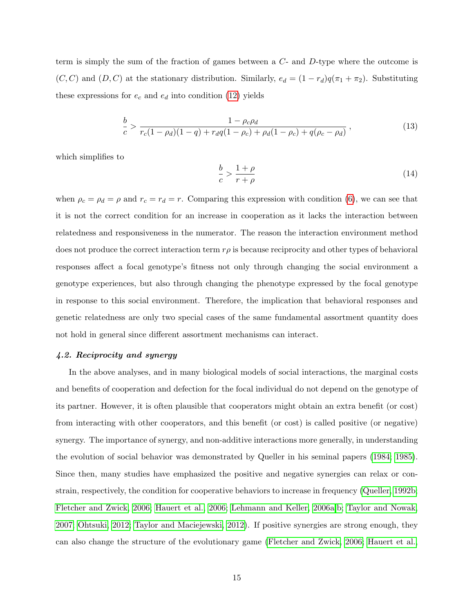term is simply the sum of the fraction of games between a C- and D-type where the outcome is  $(C, C)$  and  $(D, C)$  at the stationary distribution. Similarly,  $e_d = (1 - r_d)q(\pi_1 + \pi_2)$ . Substituting these expressions for  $e_c$  and  $e_d$  into condition [\(12\)](#page-16-1) yields

$$
\frac{b}{c} > \frac{1 - \rho_c \rho_d}{r_c (1 - \rho_d)(1 - q) + r_d q (1 - \rho_c) + \rho_d (1 - \rho_c) + q (\rho_c - \rho_d)},
$$
\n(13)

which simplifies to

$$
\frac{b}{c} > \frac{1+\rho}{r+\rho} \tag{14}
$$

when  $\rho_c = \rho_d = \rho$  and  $r_c = r_d = r$ . Comparing this expression with condition [\(6\)](#page-9-1), we can see that it is not the correct condition for an increase in cooperation as it lacks the interaction between relatedness and responsiveness in the numerator. The reason the interaction environment method does not produce the correct interaction term  $r\rho$  is because reciprocity and other types of behavioral responses affect a focal genotype's fitness not only through changing the social environment a genotype experiences, but also through changing the phenotype expressed by the focal genotype in response to this social environment. Therefore, the implication that behavioral responses and genetic relatedness are only two special cases of the same fundamental assortment quantity does not hold in general since different assortment mechanisms can interact.

#### 4.2. Reciprocity and synergy

In the above analyses, and in many biological models of social interactions, the marginal costs and benefits of cooperation and defection for the focal individual do not depend on the genotype of its partner. However, it is often plausible that cooperators might obtain an extra benefit (or cost) from interacting with other cooperators, and this benefit (or cost) is called positive (or negative) synergy. The importance of synergy, and non-additive interactions more generally, in understanding the evolution of social behavior was demonstrated by Queller in his seminal papers [\(1984;](#page-31-0) [1985\)](#page-31-1). Since then, many studies have emphasized the positive and negative synergies can relax or constrain, respectively, the condition for cooperative behaviors to increase in frequency [\(Queller, 1992b;](#page-31-8) [Fletcher and Zwick, 2006;](#page-28-1) [Hauert et al., 2006;](#page-29-3) [Lehmann and Keller, 2006a,](#page-30-1)[b;](#page-30-7) [Taylor and Nowak,](#page-33-5) [2007;](#page-33-5) [Ohtsuki, 2012;](#page-31-9) [Taylor and Maciejewski, 2012\)](#page-33-6). If positive synergies are strong enough, they can also change the structure of the evolutionary game [\(Fletcher and Zwick, 2006;](#page-28-1) [Hauert et al.,](#page-29-3)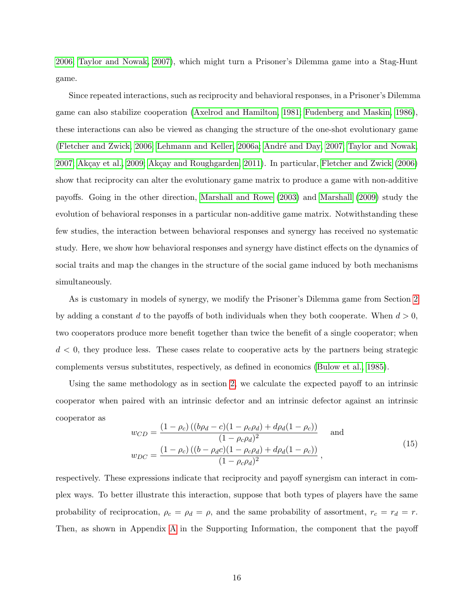[2006;](#page-29-3) [Taylor and Nowak, 2007\)](#page-33-5), which might turn a Prisoner's Dilemma game into a Stag-Hunt game.

Since repeated interactions, such as reciprocity and behavioral responses, in a Prisoner's Dilemma game can also stabilize cooperation [\(Axelrod and Hamilton, 1981;](#page-27-0) [Fudenberg and Maskin, 1986\)](#page-29-4), these interactions can also be viewed as changing the structure of the one-shot evolutionary game [\(Fletcher and Zwick, 2006;](#page-28-1) [Lehmann and Keller, 2006a;](#page-30-1) André and Day, 2007; [Taylor and Nowak,](#page-33-5) [2007;](#page-33-5) Akçay et al., 2009; Akçay and Roughgarden, 2011). In particular, [Fletcher and Zwick](#page-28-1) [\(2006\)](#page-28-1) show that reciprocity can alter the evolutionary game matrix to produce a game with non-additive payoffs. Going in the other direction, [Marshall and Rowe](#page-30-0) [\(2003\)](#page-30-0) and [Marshall](#page-30-4) [\(2009\)](#page-30-4) study the evolution of behavioral responses in a particular non-additive game matrix. Notwithstanding these few studies, the interaction between behavioral responses and synergy has received no systematic study. Here, we show how behavioral responses and synergy have distinct effects on the dynamics of social traits and map the changes in the structure of the social game induced by both mechanisms simultaneously.

As is customary in models of synergy, we modify the Prisoner's Dilemma game from Section [2](#page-6-0) by adding a constant d to the payoffs of both individuals when they both cooperate. When  $d > 0$ , two cooperators produce more benefit together than twice the benefit of a single cooperator; when  $d < 0$ , they produce less. These cases relate to cooperative acts by the partners being strategic complements versus substitutes, respectively, as defined in economics [\(Bulow et al., 1985\)](#page-28-5).

Using the same methodology as in section [2,](#page-6-0) we calculate the expected payoff to an intrinsic cooperator when paired with an intrinsic defector and an intrinsic defector against an intrinsic cooperator as

<span id="page-18-0"></span>
$$
w_{CD} = \frac{(1 - \rho_c)((b\rho_d - c)(1 - \rho_c \rho_d) + d\rho_d(1 - \rho_c))}{(1 - \rho_c \rho_d)^2} \quad \text{and}
$$
  

$$
w_{DC} = \frac{(1 - \rho_c)((b - \rho_d c)(1 - \rho_c \rho_d) + d\rho_d(1 - \rho_c))}{(1 - \rho_c \rho_d)^2},
$$
 (15)

respectively. These expressions indicate that reciprocity and payoff synergism can interact in complex ways. To better illustrate this interaction, suppose that both types of players have the same probability of reciprocation,  $\rho_c = \rho_d = \rho$ , and the same probability of assortment,  $r_c = r_d = r$ . Then, as shown in Appendix [A](#page-35-0) in the Supporting Information, the component that the payoff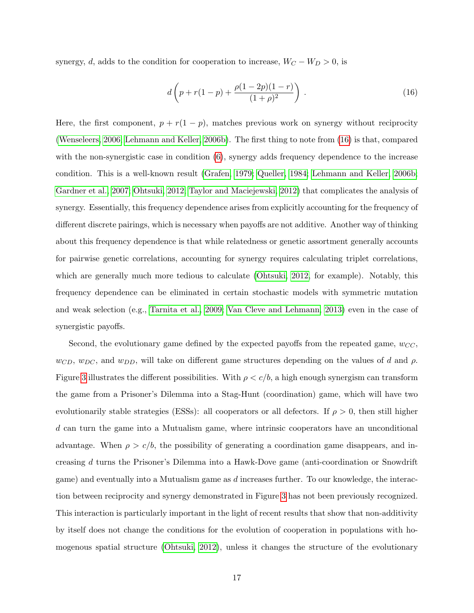synergy, d, adds to the condition for cooperation to increase,  $W_C - W_D > 0$ , is

<span id="page-19-0"></span>
$$
d\left(p + r(1-p) + \frac{\rho(1-2p)(1-r)}{(1+\rho)^2}\right) \,. \tag{16}
$$

Here, the first component,  $p + r(1 - p)$ , matches previous work on synergy without reciprocity [\(Wenseleers, 2006;](#page-33-7) [Lehmann and Keller, 2006b\)](#page-30-7). The first thing to note from [\(16\)](#page-19-0) is that, compared with the non-synergistic case in condition  $(6)$ , synergy adds frequency dependence to the increase condition. This is a well-known result [\(Grafen, 1979;](#page-29-5) [Queller, 1984;](#page-31-0) [Lehmann and Keller, 2006b;](#page-30-7) [Gardner et al., 2007;](#page-29-6) [Ohtsuki, 2012;](#page-31-9) [Taylor and Maciejewski, 2012\)](#page-33-6) that complicates the analysis of synergy. Essentially, this frequency dependence arises from explicitly accounting for the frequency of different discrete pairings, which is necessary when payoffs are not additive. Another way of thinking about this frequency dependence is that while relatedness or genetic assortment generally accounts for pairwise genetic correlations, accounting for synergy requires calculating triplet correlations, which are generally much more tedious to calculate [\(Ohtsuki, 2012,](#page-31-9) for example). Notably, this frequency dependence can be eliminated in certain stochastic models with symmetric mutation and weak selection (e.g., [Tarnita et al., 2009;](#page-33-8) [Van Cleve and Lehmann, 2013\)](#page-33-9) even in the case of synergistic payoffs.

Second, the evolutionary game defined by the expected payoffs from the repeated game,  $w_{CC}$ ,  $w_{CD}$ ,  $w_{DC}$ , and  $w_{DD}$ , will take on different game structures depending on the values of d and  $\rho$ . Figure [3](#page-47-0) illustrates the different possibilities. With  $\rho < c/b$ , a high enough synergism can transform the game from a Prisoner's Dilemma into a Stag-Hunt (coordination) game, which will have two evolutionarily stable strategies (ESSs): all cooperators or all defectors. If  $\rho > 0$ , then still higher d can turn the game into a Mutualism game, where intrinsic cooperators have an unconditional advantage. When  $\rho > c/b$ , the possibility of generating a coordination game disappears, and increasing d turns the Prisoner's Dilemma into a Hawk-Dove game (anti-coordination or Snowdrift game) and eventually into a Mutualism game as d increases further. To our knowledge, the interaction between reciprocity and synergy demonstrated in Figure [3](#page-47-0) has not been previously recognized. This interaction is particularly important in the light of recent results that show that non-additivity by itself does not change the conditions for the evolution of cooperation in populations with homogenous spatial structure [\(Ohtsuki, 2012\)](#page-31-9), unless it changes the structure of the evolutionary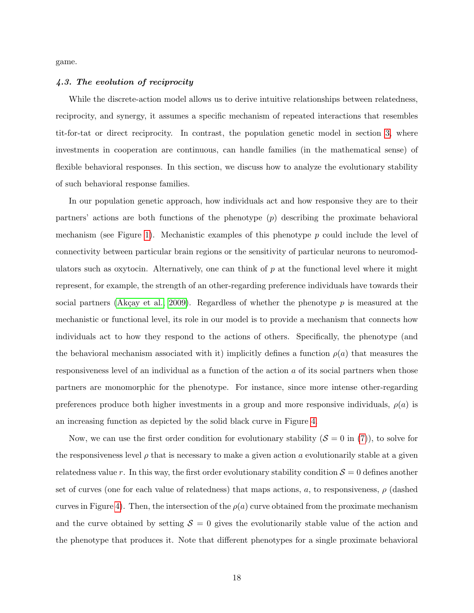game.

#### 4.3. The evolution of reciprocity

While the discrete-action model allows us to derive intuitive relationships between relatedness, reciprocity, and synergy, it assumes a specific mechanism of repeated interactions that resembles tit-for-tat or direct reciprocity. In contrast, the population genetic model in section [3,](#page-10-0) where investments in cooperation are continuous, can handle families (in the mathematical sense) of flexible behavioral responses. In this section, we discuss how to analyze the evolutionary stability of such behavioral response families.

In our population genetic approach, how individuals act and how responsive they are to their partners' actions are both functions of the phenotype (p) describing the proximate behavioral mechanism (see Figure [1\)](#page-45-0). Mechanistic examples of this phenotype  $p$  could include the level of connectivity between particular brain regions or the sensitivity of particular neurons to neuromodulators such as oxytocin. Alternatively, one can think of  $p$  at the functional level where it might represent, for example, the strength of an other-regarding preference individuals have towards their social partners (Akçay et al., 2009). Regardless of whether the phenotype  $p$  is measured at the mechanistic or functional level, its role in our model is to provide a mechanism that connects how individuals act to how they respond to the actions of others. Specifically, the phenotype (and the behavioral mechanism associated with it) implicitly defines a function  $\rho(a)$  that measures the responsiveness level of an individual as a function of the action a of its social partners when those partners are monomorphic for the phenotype. For instance, since more intense other-regarding preferences produce both higher investments in a group and more responsive individuals,  $\rho(a)$  is an increasing function as depicted by the solid black curve in Figure [4.](#page-48-0)

Now, we can use the first order condition for evolutionary stability  $(S = 0$  in [\(7\)](#page-12-0)), to solve for the responsiveness level  $\rho$  that is necessary to make a given action a evolutionarily stable at a given relatedness value r. In this way, the first order evolutionary stability condition  $S = 0$  defines another set of curves (one for each value of relatedness) that maps actions, a, to responsiveness,  $\rho$  (dashed curves in Figure [4\)](#page-48-0). Then, the intersection of the  $\rho(a)$  curve obtained from the proximate mechanism and the curve obtained by setting  $S = 0$  gives the evolutionarily stable value of the action and the phenotype that produces it. Note that different phenotypes for a single proximate behavioral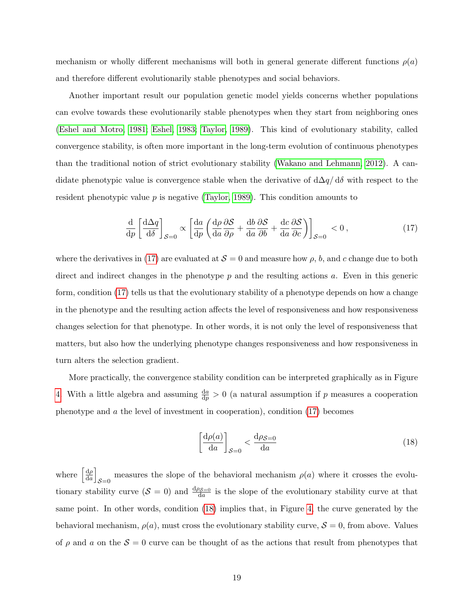mechanism or wholly different mechanisms will both in general generate different functions  $\rho(a)$ and therefore different evolutionarily stable phenotypes and social behaviors.

Another important result our population genetic model yields concerns whether populations can evolve towards these evolutionarily stable phenotypes when they start from neighboring ones [\(Eshel and Motro, 1981;](#page-28-6) [Eshel, 1983;](#page-28-7) [Taylor, 1989\)](#page-33-10). This kind of evolutionary stability, called convergence stability, is often more important in the long-term evolution of continuous phenotypes than the traditional notion of strict evolutionary stability [\(Wakano and Lehmann, 2012\)](#page-33-11). A candidate phenotypic value is convergence stable when the derivative of  $d\Delta q/d\delta$  with respect to the resident phenotypic value  $p$  is negative [\(Taylor, 1989\)](#page-33-10). This condition amounts to

<span id="page-21-0"></span>
$$
\frac{\mathrm{d}}{\mathrm{d}p} \left[ \frac{\mathrm{d}\Delta q}{\mathrm{d}\delta} \right]_{\mathcal{S}=0} \propto \left[ \frac{\mathrm{d}a}{\mathrm{d}p} \left( \frac{\mathrm{d}\rho}{\mathrm{d}a} \frac{\partial \mathcal{S}}{\partial \rho} + \frac{\mathrm{d}b}{\mathrm{d}a} \frac{\partial \mathcal{S}}{\partial b} + \frac{\mathrm{d}c}{\mathrm{d}a} \frac{\partial \mathcal{S}}{\partial c} \right) \right]_{\mathcal{S}=0} < 0 \,, \tag{17}
$$

where the derivatives in [\(17\)](#page-21-0) are evaluated at  $S = 0$  and measure how  $\rho$ , b, and c change due to both direct and indirect changes in the phenotype  $p$  and the resulting actions  $a$ . Even in this generic form, condition [\(17\)](#page-21-0) tells us that the evolutionary stability of a phenotype depends on how a change in the phenotype and the resulting action affects the level of responsiveness and how responsiveness changes selection for that phenotype. In other words, it is not only the level of responsiveness that matters, but also how the underlying phenotype changes responsiveness and how responsiveness in turn alters the selection gradient.

More practically, the convergence stability condition can be interpreted graphically as in Figure [4.](#page-48-0) With a little algebra and assuming  $\frac{da}{dp} > 0$  (a natural assumption if p measures a cooperation phenotype and  $\alpha$  the level of investment in cooperation), condition [\(17\)](#page-21-0) becomes

<span id="page-21-1"></span>
$$
\left[\frac{\mathrm{d}\rho(a)}{\mathrm{d}a}\right]_{\mathcal{S}=0} < \frac{\mathrm{d}\rho_{\mathcal{S}=0}}{\mathrm{d}a} \tag{18}
$$

where  $\frac{d\rho}{d\rho}$  $rac{\mathrm{d}\rho}{\mathrm{d}a}$ measures the slope of the behavioral mechanism  $\rho(a)$  where it crosses the evolu-<br> $S=0$ tionary stability curve  $(S = 0)$  and  $\frac{d\rho_{\mathcal{S}=0}}{da}$  is the slope of the evolutionary stability curve at that same point. In other words, condition [\(18\)](#page-21-1) implies that, in Figure [4,](#page-48-0) the curve generated by the behavioral mechanism,  $\rho(a)$ , must cross the evolutionary stability curve,  $S = 0$ , from above. Values of  $\rho$  and a on the  $S = 0$  curve can be thought of as the actions that result from phenotypes that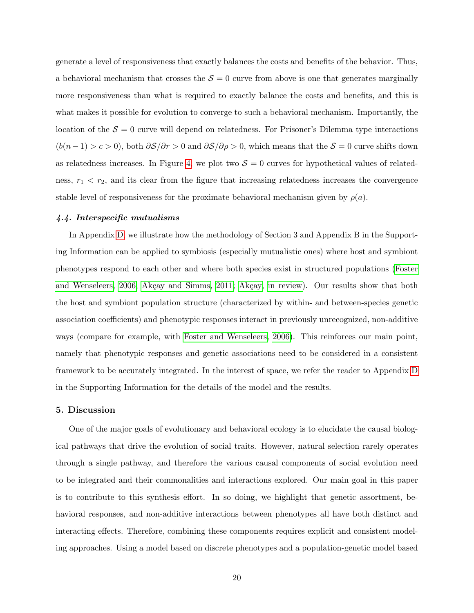generate a level of responsiveness that exactly balances the costs and benefits of the behavior. Thus, a behavioral mechanism that crosses the  $S = 0$  curve from above is one that generates marginally more responsiveness than what is required to exactly balance the costs and benefits, and this is what makes it possible for evolution to converge to such a behavioral mechanism. Importantly, the location of the  $S = 0$  curve will depend on relatedness. For Prisoner's Dilemma type interactions  $(b(n-1) > c > 0)$ , both  $\partial S/\partial r > 0$  and  $\partial S/\partial \rho > 0$ , which means that the  $S = 0$  curve shifts down as relatedness increases. In Figure [4,](#page-48-0) we plot two  $S = 0$  curves for hypothetical values of relatedness,  $r_1 < r_2$ , and its clear from the figure that increasing relatedness increases the convergence stable level of responsiveness for the proximate behavioral mechanism given by  $\rho(a)$ .

#### 4.4. Interspecific mutualisms

In Appendix [D,](#page-43-0) we illustrate how the methodology of Section 3 and Appendix B in the Supporting Information can be applied to symbiosis (especially mutualistic ones) where host and symbiont phenotypes respond to each other and where both species exist in structured populations [\(Foster](#page-28-2) [and Wenseleers, 2006;](#page-28-2) Akçay and Simms, 2011; Akçay, in review). Our results show that both the host and symbiont population structure (characterized by within- and between-species genetic association coefficients) and phenotypic responses interact in previously unrecognized, non-additive ways (compare for example, with [Foster and Wenseleers, 2006\)](#page-28-2). This reinforces our main point, namely that phenotypic responses and genetic associations need to be considered in a consistent framework to be accurately integrated. In the interest of space, we refer the reader to Appendix [D](#page-43-0) in the Supporting Information for the details of the model and the results.

#### 5. Discussion

One of the major goals of evolutionary and behavioral ecology is to elucidate the causal biological pathways that drive the evolution of social traits. However, natural selection rarely operates through a single pathway, and therefore the various causal components of social evolution need to be integrated and their commonalities and interactions explored. Our main goal in this paper is to contribute to this synthesis effort. In so doing, we highlight that genetic assortment, behavioral responses, and non-additive interactions between phenotypes all have both distinct and interacting effects. Therefore, combining these components requires explicit and consistent modeling approaches. Using a model based on discrete phenotypes and a population-genetic model based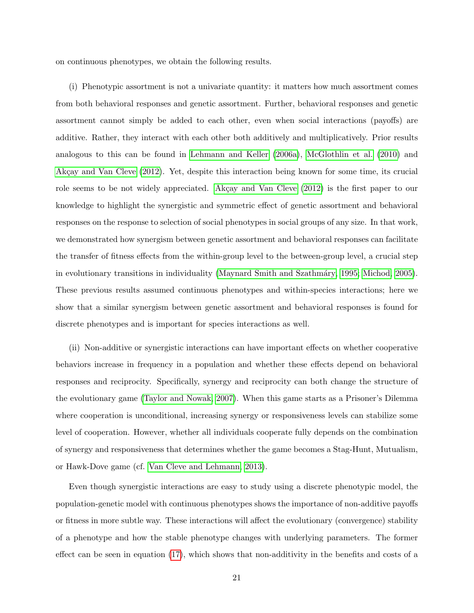on continuous phenotypes, we obtain the following results.

(i) Phenotypic assortment is not a univariate quantity: it matters how much assortment comes from both behavioral responses and genetic assortment. Further, behavioral responses and genetic assortment cannot simply be added to each other, even when social interactions (payoffs) are additive. Rather, they interact with each other both additively and multiplicatively. Prior results analogous to this can be found in [Lehmann and Keller](#page-30-1) [\(2006a\)](#page-30-1), [McGlothlin et al.](#page-30-2) [\(2010\)](#page-30-2) and Akçay and Van Cleve  $(2012)$ . Yet, despite this interaction being known for some time, its crucial role seems to be not widely appreciated. Akçay and Van Cleve  $(2012)$  is the first paper to our knowledge to highlight the synergistic and symmetric effect of genetic assortment and behavioral responses on the response to selection of social phenotypes in social groups of any size. In that work, we demonstrated how synergism between genetic assortment and behavioral responses can facilitate the transfer of fitness effects from the within-group level to the between-group level, a crucial step in evolutionary transitions in individuality (Maynard Smith and Szathmáry, 1995; [Michod, 2005\)](#page-30-9). These previous results assumed continuous phenotypes and within-species interactions; here we show that a similar synergism between genetic assortment and behavioral responses is found for discrete phenotypes and is important for species interactions as well.

(ii) Non-additive or synergistic interactions can have important effects on whether cooperative behaviors increase in frequency in a population and whether these effects depend on behavioral responses and reciprocity. Specifically, synergy and reciprocity can both change the structure of the evolutionary game [\(Taylor and Nowak, 2007\)](#page-33-5). When this game starts as a Prisoner's Dilemma where cooperation is unconditional, increasing synergy or responsiveness levels can stabilize some level of cooperation. However, whether all individuals cooperate fully depends on the combination of synergy and responsiveness that determines whether the game becomes a Stag-Hunt, Mutualism, or Hawk-Dove game (cf. [Van Cleve and Lehmann, 2013\)](#page-33-9).

Even though synergistic interactions are easy to study using a discrete phenotypic model, the population-genetic model with continuous phenotypes shows the importance of non-additive payoffs or fitness in more subtle way. These interactions will affect the evolutionary (convergence) stability of a phenotype and how the stable phenotype changes with underlying parameters. The former effect can be seen in equation [\(17\)](#page-21-0), which shows that non-additivity in the benefits and costs of a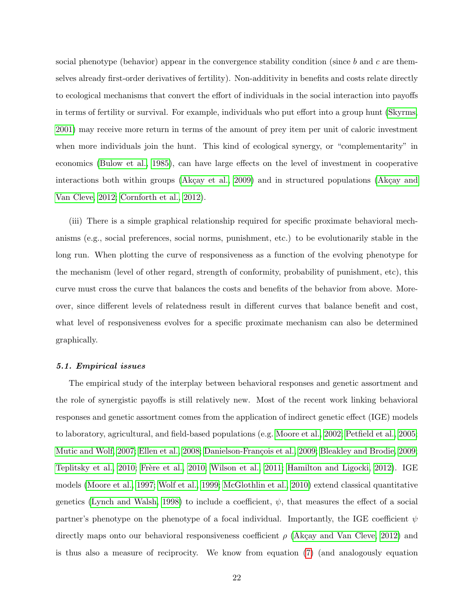social phenotype (behavior) appear in the convergence stability condition (since b and c are themselves already first-order derivatives of fertility). Non-additivity in benefits and costs relate directly to ecological mechanisms that convert the effort of individuals in the social interaction into payoffs in terms of fertility or survival. For example, individuals who put effort into a group hunt [\(Skyrms,](#page-32-5) [2001\)](#page-32-5) may receive more return in terms of the amount of prey item per unit of caloric investment when more individuals join the hunt. This kind of ecological synergy, or "complementarity" in economics [\(Bulow et al., 1985\)](#page-28-5), can have large effects on the level of investment in cooperative interactions both within groups  $(Akçay et al., 2009)$  and in structured populations  $(Akçay and$ [Van Cleve, 2012;](#page-27-2) [Cornforth et al., 2012\)](#page-28-8).

(iii) There is a simple graphical relationship required for specific proximate behavioral mechanisms (e.g., social preferences, social norms, punishment, etc.) to be evolutionarily stable in the long run. When plotting the curve of responsiveness as a function of the evolving phenotype for the mechanism (level of other regard, strength of conformity, probability of punishment, etc), this curve must cross the curve that balances the costs and benefits of the behavior from above. Moreover, since different levels of relatedness result in different curves that balance benefit and cost, what level of responsiveness evolves for a specific proximate mechanism can also be determined graphically.

#### 5.1. Empirical issues

The empirical study of the interplay between behavioral responses and genetic assortment and the role of synergistic payoffs is still relatively new. Most of the recent work linking behavioral responses and genetic assortment comes from the application of indirect genetic effect (IGE) models to laboratory, agricultural, and field-based populations (e.g. [Moore et al., 2002;](#page-31-10) [Petfield et al., 2005;](#page-31-11) [Mutic and Wolf, 2007;](#page-31-12) [Ellen et al., 2008;](#page-28-9) Danielson-François et al., 2009; [Bleakley and Brodie, 2009;](#page-27-8) [Teplitsky et al., 2010;](#page-33-12) Frère et al., 2010; [Wilson et al., 2011;](#page-34-3) [Hamilton and Ligocki, 2012\)](#page-29-8). IGE models [\(Moore et al., 1997;](#page-30-10) [Wolf et al., 1999;](#page-34-4) [McGlothlin et al., 2010\)](#page-30-2) extend classical quantitative genetics [\(Lynch and Walsh, 1998\)](#page-30-11) to include a coefficient,  $\psi$ , that measures the effect of a social partner's phenotype on the phenotype of a focal individual. Importantly, the IGE coefficient  $\psi$ directly maps onto our behavioral responsiveness coefficient  $\rho$  (Akçay and Van Cleve, 2012) and is thus also a measure of reciprocity. We know from equation [\(7\)](#page-12-0) (and analogously equation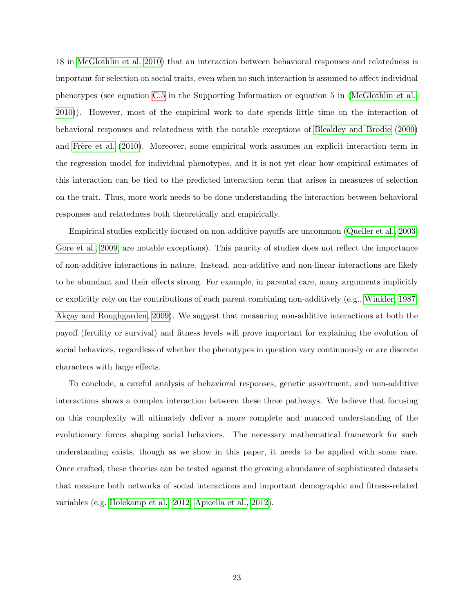18 in [McGlothlin et al. 2010\)](#page-30-2) that an interaction between behavioral responses and relatedness is important for selection on social traits, even when no such interaction is assumed to affect individual phenotypes (see equation [C.5](#page-41-0) in the Supporting Information or equation 5 in [\(McGlothlin et al.,](#page-30-2) [2010\)](#page-30-2)). However, most of the empirical work to date spends little time on the interaction of behavioral responses and relatedness with the notable exceptions of [Bleakley and Brodie](#page-27-8) [\(2009\)](#page-27-8) and Frère et al. [\(2010\)](#page-29-7). Moreover, some empirical work assumes an explicit interaction term in the regression model for individual phenotypes, and it is not yet clear how empirical estimates of this interaction can be tied to the predicted interaction term that arises in measures of selection on the trait. Thus, more work needs to be done understanding the interaction between behavioral responses and relatedness both theoretically and empirically.

Empirical studies explicitly focused on non-additive payoffs are uncommon [\(Queller et al., 2003;](#page-32-12) [Gore et al., 2009,](#page-29-9) are notable exceptions). This paucity of studies does not reflect the importance of non-additive interactions in nature. Instead, non-additive and non-linear interactions are likely to be abundant and their effects strong. For example, in parental care, many arguments implicitly or explicitly rely on the contributions of each parent combining non-additively (e.g., [Winkler, 1987;](#page-34-5) Akçay and Roughgarden, 2009). We suggest that measuring non-additive interactions at both the payoff (fertility or survival) and fitness levels will prove important for explaining the evolution of social behaviors, regardless of whether the phenotypes in question vary continuously or are discrete characters with large effects.

To conclude, a careful analysis of behavioral responses, genetic assortment, and non-additive interactions shows a complex interaction between these three pathways. We believe that focusing on this complexity will ultimately deliver a more complete and nuanced understanding of the evolutionary forces shaping social behaviors. The necessary mathematical framework for such understanding exists, though as we show in this paper, it needs to be applied with some care. Once crafted, these theories can be tested against the growing abundance of sophisticated datasets that measure both networks of social interactions and important demographic and fitness-related variables (e.g. [Holekamp et al., 2012;](#page-29-10) [Apicella et al., 2012\)](#page-27-10).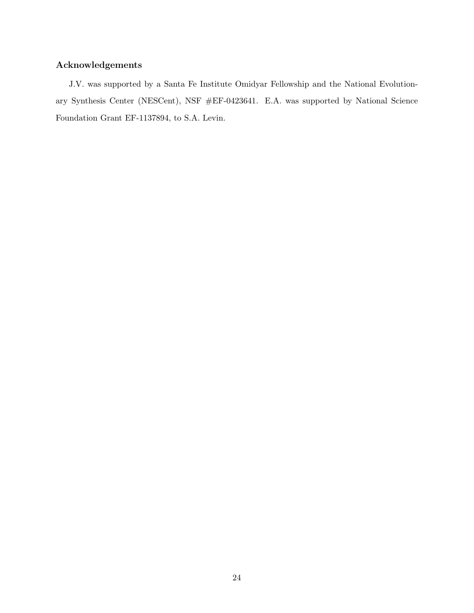## Acknowledgements

J.V. was supported by a Santa Fe Institute Omidyar Fellowship and the National Evolutionary Synthesis Center (NESCent), NSF #EF-0423641. E.A. was supported by National Science Foundation Grant EF-1137894, to S.A. Levin.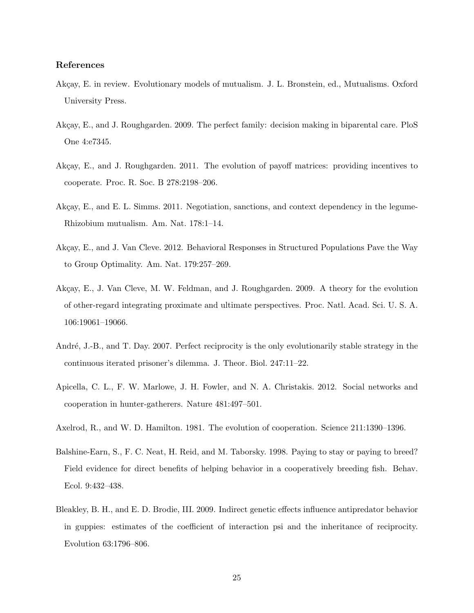#### <span id="page-27-7"></span>References

- Akçay, E. in review. Evolutionary models of mutualism. J. L. Bronstein, ed., Mutualisms. Oxford University Press.
- <span id="page-27-9"></span>Akçay, E., and J. Roughgarden. 2009. The perfect family: decision making in biparental care. PloS One 4:e7345.
- <span id="page-27-5"></span>Akçay, E., and J. Roughgarden. 2011. The evolution of payoff matrices: providing incentives to cooperate. Proc. R. Soc. B 278:2198–206.
- <span id="page-27-6"></span>Akçay, E., and E. L. Simms. 2011. Negotiation, sanctions, and context dependency in the legume-Rhizobium mutualism. Am. Nat. 178:1–14.
- <span id="page-27-2"></span>Akçay, E., and J. Van Cleve. 2012. Behavioral Responses in Structured Populations Pave the Way to Group Optimality. Am. Nat. 179:257–269.
- <span id="page-27-3"></span>Akçay, E., J. Van Cleve, M. W. Feldman, and J. Roughgarden. 2009. A theory for the evolution of other-regard integrating proximate and ultimate perspectives. Proc. Natl. Acad. Sci. U. S. A. 106:19061–19066.
- <span id="page-27-4"></span>André, J.-B., and T. Day. 2007. Perfect reciprocity is the only evolutionarily stable strategy in the continuous iterated prisoner's dilemma. J. Theor. Biol. 247:11–22.
- <span id="page-27-10"></span>Apicella, C. L., F. W. Marlowe, J. H. Fowler, and N. A. Christakis. 2012. Social networks and cooperation in hunter-gatherers. Nature 481:497–501.
- <span id="page-27-0"></span>Axelrod, R., and W. D. Hamilton. 1981. The evolution of cooperation. Science 211:1390–1396.
- <span id="page-27-1"></span>Balshine-Earn, S., F. C. Neat, H. Reid, and M. Taborsky. 1998. Paying to stay or paying to breed? Field evidence for direct benefits of helping behavior in a cooperatively breeding fish. Behav. Ecol. 9:432–438.
- <span id="page-27-8"></span>Bleakley, B. H., and E. D. Brodie, III. 2009. Indirect genetic effects influence antipredator behavior in guppies: estimates of the coefficient of interaction psi and the inheritance of reciprocity. Evolution 63:1796–806.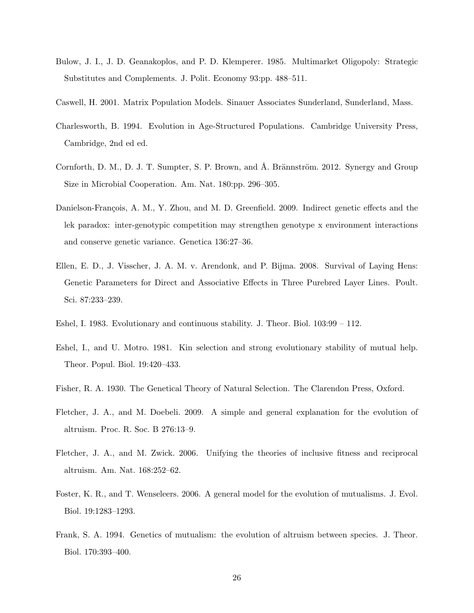- <span id="page-28-5"></span>Bulow, J. I., J. D. Geanakoplos, and P. D. Klemperer. 1985. Multimarket Oligopoly: Strategic Substitutes and Complements. J. Polit. Economy 93:pp. 488–511.
- <span id="page-28-4"></span>Caswell, H. 2001. Matrix Population Models. Sinauer Associates Sunderland, Sunderland, Mass.
- <span id="page-28-3"></span>Charlesworth, B. 1994. Evolution in Age-Structured Populations. Cambridge University Press, Cambridge, 2nd ed ed.
- <span id="page-28-8"></span>Cornforth, D. M., D. J. T. Sumpter, S. P. Brown, and Å. Brännström. 2012. Synergy and Group Size in Microbial Cooperation. Am. Nat. 180:pp. 296–305.
- <span id="page-28-10"></span>Danielson-François, A. M., Y. Zhou, and M. D. Greenfield. 2009. Indirect genetic effects and the lek paradox: inter-genotypic competition may strengthen genotype x environment interactions and conserve genetic variance. Genetica 136:27–36.
- <span id="page-28-9"></span>Ellen, E. D., J. Visscher, J. A. M. v. Arendonk, and P. Bijma. 2008. Survival of Laying Hens: Genetic Parameters for Direct and Associative Effects in Three Purebred Layer Lines. Poult. Sci. 87:233–239.
- <span id="page-28-7"></span>Eshel, I. 1983. Evolutionary and continuous stability. J. Theor. Biol. 103:99 – 112.
- <span id="page-28-6"></span>Eshel, I., and U. Motro. 1981. Kin selection and strong evolutionary stability of mutual help. Theor. Popul. Biol. 19:420–433.
- <span id="page-28-11"></span>Fisher, R. A. 1930. The Genetical Theory of Natural Selection. The Clarendon Press, Oxford.
- <span id="page-28-0"></span>Fletcher, J. A., and M. Doebeli. 2009. A simple and general explanation for the evolution of altruism. Proc. R. Soc. B 276:13–9.
- <span id="page-28-1"></span>Fletcher, J. A., and M. Zwick. 2006. Unifying the theories of inclusive fitness and reciprocal altruism. Am. Nat. 168:252–62.
- <span id="page-28-2"></span>Foster, K. R., and T. Wenseleers. 2006. A general model for the evolution of mutualisms. J. Evol. Biol. 19:1283–1293.
- <span id="page-28-12"></span>Frank, S. A. 1994. Genetics of mutualism: the evolution of altruism between species. J. Theor. Biol. 170:393–400.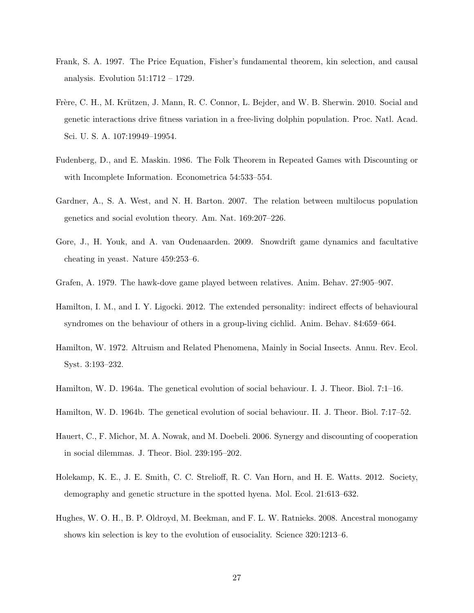- <span id="page-29-11"></span>Frank, S. A. 1997. The Price Equation, Fisher's fundamental theorem, kin selection, and causal analysis. Evolution 51:1712 – 1729.
- <span id="page-29-7"></span>Frère, C. H., M. Krützen, J. Mann, R. C. Connor, L. Bejder, and W. B. Sherwin. 2010. Social and genetic interactions drive fitness variation in a free-living dolphin population. Proc. Natl. Acad. Sci. U. S. A. 107:19949–19954.
- <span id="page-29-4"></span>Fudenberg, D., and E. Maskin. 1986. The Folk Theorem in Repeated Games with Discounting or with Incomplete Information. Econometrica 54:533–554.
- <span id="page-29-6"></span>Gardner, A., S. A. West, and N. H. Barton. 2007. The relation between multilocus population genetics and social evolution theory. Am. Nat. 169:207–226.
- <span id="page-29-9"></span>Gore, J., H. Youk, and A. van Oudenaarden. 2009. Snowdrift game dynamics and facultative cheating in yeast. Nature 459:253–6.
- <span id="page-29-5"></span>Grafen, A. 1979. The hawk-dove game played between relatives. Anim. Behav. 27:905–907.
- <span id="page-29-8"></span>Hamilton, I. M., and I. Y. Ligocki. 2012. The extended personality: indirect effects of behavioural syndromes on the behaviour of others in a group-living cichlid. Anim. Behav. 84:659–664.
- <span id="page-29-12"></span>Hamilton, W. 1972. Altruism and Related Phenomena, Mainly in Social Insects. Annu. Rev. Ecol. Syst. 3:193–232.
- <span id="page-29-0"></span>Hamilton, W. D. 1964a. The genetical evolution of social behaviour. I. J. Theor. Biol. 7:1–16.
- <span id="page-29-1"></span>Hamilton, W. D. 1964b. The genetical evolution of social behaviour. II. J. Theor. Biol. 7:17–52.
- <span id="page-29-3"></span>Hauert, C., F. Michor, M. A. Nowak, and M. Doebeli. 2006. Synergy and discounting of cooperation in social dilemmas. J. Theor. Biol. 239:195–202.
- <span id="page-29-10"></span>Holekamp, K. E., J. E. Smith, C. C. Strelioff, R. C. Van Horn, and H. E. Watts. 2012. Society, demography and genetic structure in the spotted hyena. Mol. Ecol. 21:613–632.
- <span id="page-29-2"></span>Hughes, W. O. H., B. P. Oldroyd, M. Beekman, and F. L. W. Ratnieks. 2008. Ancestral monogamy shows kin selection is key to the evolution of eusociality. Science 320:1213–6.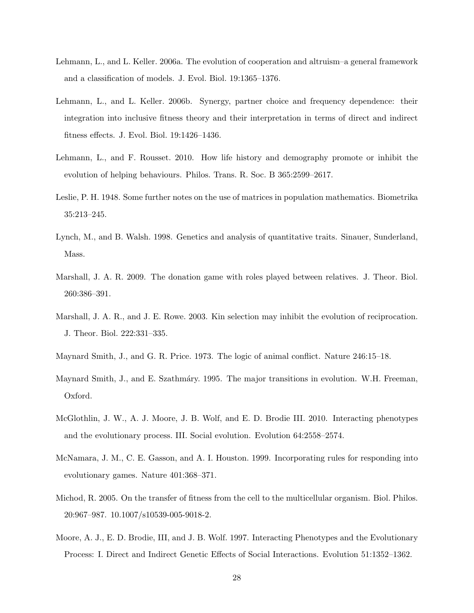- <span id="page-30-1"></span>Lehmann, L., and L. Keller. 2006a. The evolution of cooperation and altruism–a general framework and a classification of models. J. Evol. Biol. 19:1365–1376.
- <span id="page-30-7"></span>Lehmann, L., and L. Keller. 2006b. Synergy, partner choice and frequency dependence: their integration into inclusive fitness theory and their interpretation in terms of direct and indirect fitness effects. J. Evol. Biol. 19:1426–1436.
- <span id="page-30-6"></span>Lehmann, L., and F. Rousset. 2010. How life history and demography promote or inhibit the evolution of helping behaviours. Philos. Trans. R. Soc. B 365:2599–2617.
- <span id="page-30-12"></span>Leslie, P. H. 1948. Some further notes on the use of matrices in population mathematics. Biometrika 35:213–245.
- <span id="page-30-11"></span>Lynch, M., and B. Walsh. 1998. Genetics and analysis of quantitative traits. Sinauer, Sunderland, Mass.
- <span id="page-30-4"></span>Marshall, J. A. R. 2009. The donation game with roles played between relatives. J. Theor. Biol. 260:386–391.
- <span id="page-30-0"></span>Marshall, J. A. R., and J. E. Rowe. 2003. Kin selection may inhibit the evolution of reciprocation. J. Theor. Biol. 222:331–335.
- <span id="page-30-3"></span>Maynard Smith, J., and G. R. Price. 1973. The logic of animal conflict. Nature 246:15–18.
- <span id="page-30-8"></span>Maynard Smith, J., and E. Szathmáry. 1995. The major transitions in evolution. W.H. Freeman, Oxford.
- <span id="page-30-2"></span>McGlothlin, J. W., A. J. Moore, J. B. Wolf, and E. D. Brodie III. 2010. Interacting phenotypes and the evolutionary process. III. Social evolution. Evolution 64:2558–2574.
- <span id="page-30-5"></span>McNamara, J. M., C. E. Gasson, and A. I. Houston. 1999. Incorporating rules for responding into evolutionary games. Nature 401:368–371.
- <span id="page-30-9"></span>Michod, R. 2005. On the transfer of fitness from the cell to the multicellular organism. Biol. Philos. 20:967–987. 10.1007/s10539-005-9018-2.
- <span id="page-30-10"></span>Moore, A. J., E. D. Brodie, III, and J. B. Wolf. 1997. Interacting Phenotypes and the Evolutionary Process: I. Direct and Indirect Genetic Effects of Social Interactions. Evolution 51:1352–1362.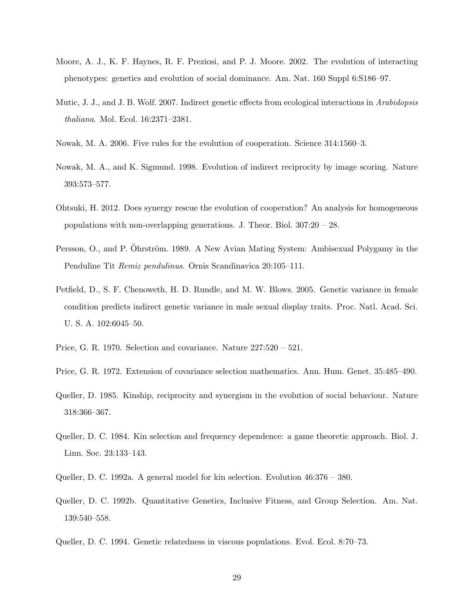- <span id="page-31-10"></span>Moore, A. J., K. F. Haynes, R. F. Preziosi, and P. J. Moore. 2002. The evolution of interacting phenotypes: genetics and evolution of social dominance. Am. Nat. 160 Suppl 6:S186–97.
- <span id="page-31-12"></span>Mutic, J. J., and J. B. Wolf. 2007. Indirect genetic effects from ecological interactions in Arabidopsis thaliana. Mol. Ecol. 16:2371–2381.
- <span id="page-31-3"></span>Nowak, M. A. 2006. Five rules for the evolution of cooperation. Science 314:1560–3.
- <span id="page-31-2"></span>Nowak, M. A., and K. Sigmund. 1998. Evolution of indirect reciprocity by image scoring. Nature 393:573–577.
- <span id="page-31-9"></span>Ohtsuki, H. 2012. Does synergy rescue the evolution of cooperation? An analysis for homogeneous populations with non-overlapping generations. J. Theor. Biol. 307:20 – 28.
- <span id="page-31-4"></span>Persson, O., and P. Ohrström. 1989. A New Avian Mating System: Ambisexual Polygamy in the Penduline Tit Remiz pendulinus. Ornis Scandinavica 20:105–111.
- <span id="page-31-11"></span>Petfield, D., S. F. Chenoweth, H. D. Rundle, and M. W. Blows. 2005. Genetic variance in female condition predicts indirect genetic variance in male sexual display traits. Proc. Natl. Acad. Sci. U. S. A. 102:6045–50.
- <span id="page-31-6"></span>Price, G. R. 1970. Selection and covariance. Nature 227:520 – 521.
- <span id="page-31-5"></span>Price, G. R. 1972. Extension of covariance selection mathematics. Ann. Hum. Genet. 35:485–490.
- <span id="page-31-1"></span>Queller, D. 1985. Kinship, reciprocity and synergism in the evolution of social behaviour. Nature 318:366–367.
- <span id="page-31-0"></span>Queller, D. C. 1984. Kin selection and frequency dependence: a game theoretic approach. Biol. J. Linn. Soc. 23:133–143.
- <span id="page-31-13"></span>Queller, D. C. 1992a. A general model for kin selection. Evolution 46:376 – 380.
- <span id="page-31-8"></span>Queller, D. C. 1992b. Quantitative Genetics, Inclusive Fitness, and Group Selection. Am. Nat. 139:540–558.
- <span id="page-31-7"></span>Queller, D. C. 1994. Genetic relatedness in viscous populations. Evol. Ecol. 8:70–73.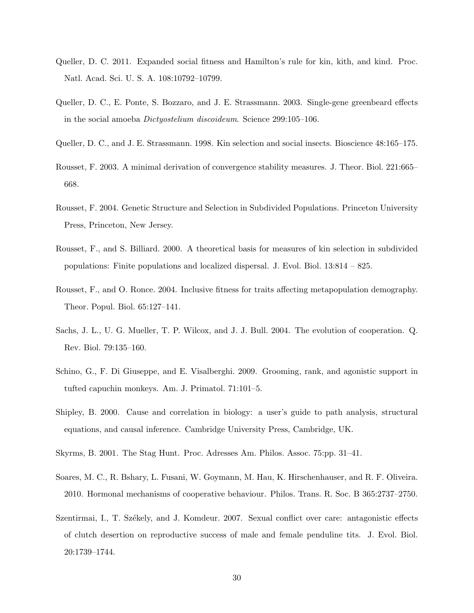- <span id="page-32-3"></span>Queller, D. C. 2011. Expanded social fitness and Hamilton's rule for kin, kith, and kind. Proc. Natl. Acad. Sci. U. S. A. 108:10792–10799.
- <span id="page-32-12"></span>Queller, D. C., E. Ponte, S. Bozzaro, and J. E. Strassmann. 2003. Single-gene greenbeard effects in the social amoeba Dictyostelium discoideum. Science 299:105–106.
- <span id="page-32-0"></span>Queller, D. C., and J. E. Strassmann. 1998. Kin selection and social insects. Bioscience 48:165–175.
- <span id="page-32-7"></span>Rousset, F. 2003. A minimal derivation of convergence stability measures. J. Theor. Biol. 221:665– 668.
- <span id="page-32-10"></span>Rousset, F. 2004. Genetic Structure and Selection in Subdivided Populations. Princeton University Press, Princeton, New Jersey.
- <span id="page-32-6"></span>Rousset, F., and S. Billiard. 2000. A theoretical basis for measures of kin selection in subdivided populations: Finite populations and localized dispersal. J. Evol. Biol. 13:814 – 825.
- <span id="page-32-8"></span>Rousset, F., and O. Ronce. 2004. Inclusive fitness for traits affecting metapopulation demography. Theor. Popul. Biol. 65:127–141.
- <span id="page-32-2"></span>Sachs, J. L., U. G. Mueller, T. P. Wilcox, and J. J. Bull. 2004. The evolution of cooperation. Q. Rev. Biol. 79:135–160.
- <span id="page-32-1"></span>Schino, G., F. Di Giuseppe, and E. Visalberghi. 2009. Grooming, rank, and agonistic support in tufted capuchin monkeys. Am. J. Primatol. 71:101–5.
- <span id="page-32-11"></span>Shipley, B. 2000. Cause and correlation in biology: a user's guide to path analysis, structural equations, and causal inference. Cambridge University Press, Cambridge, UK.
- <span id="page-32-5"></span>Skyrms, B. 2001. The Stag Hunt. Proc. Adresses Am. Philos. Assoc. 75:pp. 31–41.
- <span id="page-32-9"></span>Soares, M. C., R. Bshary, L. Fusani, W. Goymann, M. Hau, K. Hirschenhauser, and R. F. Oliveira. 2010. Hormonal mechanisms of cooperative behaviour. Philos. Trans. R. Soc. B 365:2737–2750.
- <span id="page-32-4"></span>Szentirmai, I., T. Székely, and J. Komdeur. 2007. Sexual conflict over care: antagonistic effects of clutch desertion on reproductive success of male and female penduline tits. J. Evol. Biol. 20:1739–1744.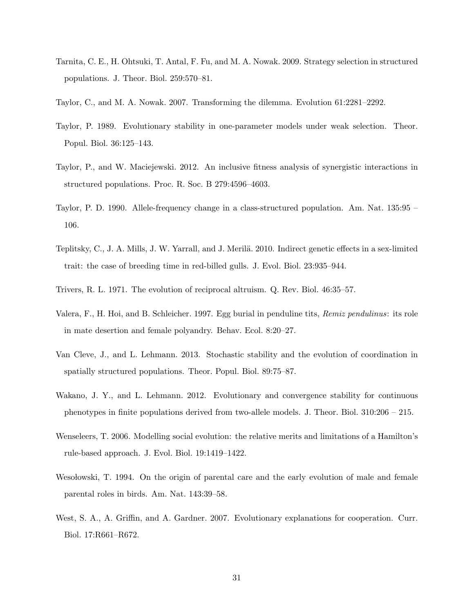- <span id="page-33-8"></span>Tarnita, C. E., H. Ohtsuki, T. Antal, F. Fu, and M. A. Nowak. 2009. Strategy selection in structured populations. J. Theor. Biol. 259:570–81.
- <span id="page-33-5"></span>Taylor, C., and M. A. Nowak. 2007. Transforming the dilemma. Evolution 61:2281–2292.
- <span id="page-33-10"></span>Taylor, P. 1989. Evolutionary stability in one-parameter models under weak selection. Theor. Popul. Biol. 36:125–143.
- <span id="page-33-6"></span>Taylor, P., and W. Maciejewski. 2012. An inclusive fitness analysis of synergistic interactions in structured populations. Proc. R. Soc. B 279:4596–4603.
- <span id="page-33-4"></span>Taylor, P. D. 1990. Allele-frequency change in a class-structured population. Am. Nat. 135:95 – 106.
- <span id="page-33-12"></span>Teplitsky, C., J. A. Mills, J. W. Yarrall, and J. Merilä. 2010. Indirect genetic effects in a sex-limited trait: the case of breeding time in red-billed gulls. J. Evol. Biol. 23:935–944.
- <span id="page-33-0"></span>Trivers, R. L. 1971. The evolution of reciprocal altruism. Q. Rev. Biol. 46:35–57.
- <span id="page-33-3"></span>Valera, F., H. Hoi, and B. Schleicher. 1997. Egg burial in penduline tits, Remiz pendulinus: its role in mate desertion and female polyandry. Behav. Ecol. 8:20–27.
- <span id="page-33-9"></span>Van Cleve, J., and L. Lehmann. 2013. Stochastic stability and the evolution of coordination in spatially structured populations. Theor. Popul. Biol. 89:75–87.
- <span id="page-33-11"></span>Wakano, J. Y., and L. Lehmann. 2012. Evolutionary and convergence stability for continuous phenotypes in finite populations derived from two-allele models. J. Theor. Biol. 310:206 – 215.
- <span id="page-33-7"></span>Wenseleers, T. 2006. Modelling social evolution: the relative merits and limitations of a Hamilton's rule-based approach. J. Evol. Biol. 19:1419–1422.
- <span id="page-33-2"></span>Weso lowski, T. 1994. On the origin of parental care and the early evolution of male and female parental roles in birds. Am. Nat. 143:39–58.
- <span id="page-33-1"></span>West, S. A., A. Griffin, and A. Gardner. 2007. Evolutionary explanations for cooperation. Curr. Biol. 17:R661–R672.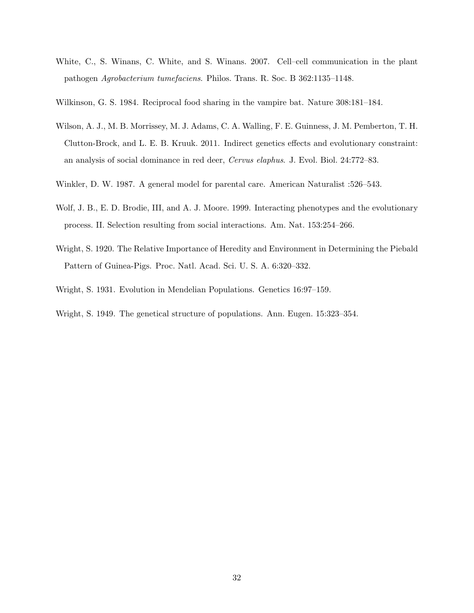- <span id="page-34-1"></span>White, C., S. Winans, C. White, and S. Winans. 2007. Cell–cell communication in the plant pathogen Agrobacterium tumefaciens. Philos. Trans. R. Soc. B 362:1135–1148.
- <span id="page-34-0"></span>Wilkinson, G. S. 1984. Reciprocal food sharing in the vampire bat. Nature 308:181–184.
- <span id="page-34-3"></span>Wilson, A. J., M. B. Morrissey, M. J. Adams, C. A. Walling, F. E. Guinness, J. M. Pemberton, T. H. Clutton-Brock, and L. E. B. Kruuk. 2011. Indirect genetics effects and evolutionary constraint: an analysis of social dominance in red deer, Cervus elaphus. J. Evol. Biol. 24:772–83.
- <span id="page-34-5"></span>Winkler, D. W. 1987. A general model for parental care. American Naturalist :526–543.
- <span id="page-34-4"></span>Wolf, J. B., E. D. Brodie, III, and A. J. Moore. 1999. Interacting phenotypes and the evolutionary process. II. Selection resulting from social interactions. Am. Nat. 153:254–266.
- <span id="page-34-2"></span>Wright, S. 1920. The Relative Importance of Heredity and Environment in Determining the Piebald Pattern of Guinea-Pigs. Proc. Natl. Acad. Sci. U. S. A. 6:320–332.
- <span id="page-34-7"></span>Wright, S. 1931. Evolution in Mendelian Populations. Genetics 16:97–159.
- <span id="page-34-6"></span>Wright, S. 1949. The genetical structure of populations. Ann. Eugen. 15:323–354.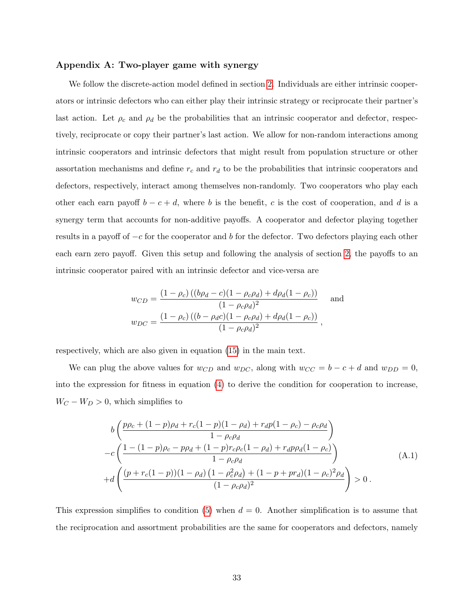#### <span id="page-35-0"></span>Appendix A: Two-player game with synergy

We follow the discrete-action model defined in section [2.](#page-6-0) Individuals are either intrinsic cooperators or intrinsic defectors who can either play their intrinsic strategy or reciprocate their partner's last action. Let  $\rho_c$  and  $\rho_d$  be the probabilities that an intrinsic cooperator and defector, respectively, reciprocate or copy their partner's last action. We allow for non-random interactions among intrinsic cooperators and intrinsic defectors that might result from population structure or other assortation mechanisms and define  $r_c$  and  $r_d$  to be the probabilities that intrinsic cooperators and defectors, respectively, interact among themselves non-randomly. Two cooperators who play each other each earn payoff  $b - c + d$ , where b is the benefit, c is the cost of cooperation, and d is a synergy term that accounts for non-additive payoffs. A cooperator and defector playing together results in a payoff of  $-c$  for the cooperator and b for the defector. Two defectors playing each other each earn zero payoff. Given this setup and following the analysis of section [2,](#page-6-0) the payoffs to an intrinsic cooperator paired with an intrinsic defector and vice-versa are

$$
w_{CD} = \frac{(1 - \rho_c) ((b\rho_d - c)(1 - \rho_c \rho_d) + d\rho_d (1 - \rho_c))}{(1 - \rho_c \rho_d)^2}
$$
 and  

$$
w_{DC} = \frac{(1 - \rho_c) ((b - \rho_d c)(1 - \rho_c \rho_d) + d\rho_d (1 - \rho_c))}{(1 - \rho_c \rho_d)^2},
$$

respectively, which are also given in equation [\(15\)](#page-18-0) in the main text.

We can plug the above values for  $w_{CD}$  and  $w_{DC}$ , along with  $w_{CC} = b - c + d$  and  $w_{DD} = 0$ , into the expression for fitness in equation [\(4\)](#page-9-2) to derive the condition for cooperation to increase,  $W_C - W_D > 0$ , which simplifies to

<span id="page-35-1"></span>
$$
b\left(\frac{p\rho_c + (1-p)\rho_d + r_c(1-p)(1-\rho_d) + r_d p(1-\rho_c) - \rho_c \rho_d}{1 - \rho_c \rho_d}\right) - c\left(\frac{1 - (1-p)\rho_c - p\rho_d + (1-p)r_c\rho_c(1-\rho_d) + r_d p\rho_d(1-\rho_c)}{1 - \rho_c \rho_d}\right) + d\left(\frac{(p + r_c(1-p))(1-\rho_d)\left(1 - \rho_c^2 \rho_d\right) + (1-p + pr_d)(1-\rho_c)^2 \rho_d}{(1-\rho_c \rho_d)^2}\right) > 0.
$$
\n(A.1)

This expression simplifies to condition [\(5\)](#page-9-0) when  $d = 0$ . Another simplification is to assume that the reciprocation and assortment probabilities are the same for cooperators and defectors, namely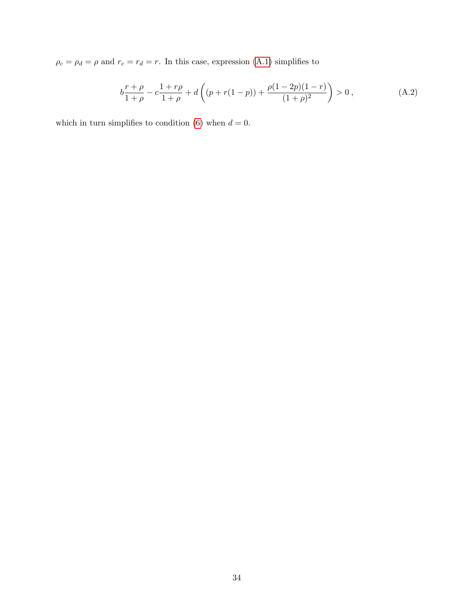$\rho_c = \rho_d = \rho$  and  $r_c = r_d = r$ . In this case, expression [\(A.1\)](#page-35-1) simplifies to

$$
b\frac{r+\rho}{1+\rho} - c\frac{1+r\rho}{1+\rho} + d\left((p+r(1-p)) + \frac{\rho(1-2p)(1-r)}{(1+\rho)^2}\right) > 0,
$$
 (A.2)

which in turn simplifies to condition [\(6\)](#page-9-1) when  $d = 0$ .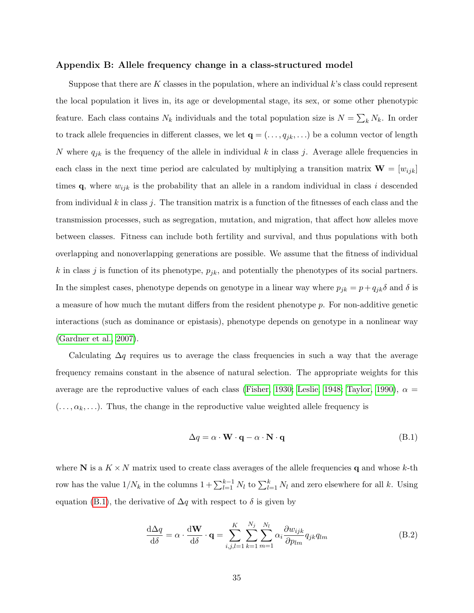#### <span id="page-37-0"></span>Appendix B: Allele frequency change in a class-structured model

Suppose that there are K classes in the population, where an individual  $k$ 's class could represent the local population it lives in, its age or developmental stage, its sex, or some other phenotypic feature. Each class contains  $N_k$  individuals and the total population size is  $N = \sum_k N_k$ . In order to track allele frequencies in different classes, we let  $\mathbf{q} = (\ldots, q_{jk}, \ldots)$  be a column vector of length N where  $q_{jk}$  is the frequency of the allele in individual k in class j. Average allele frequencies in each class in the next time period are calculated by multiplying a transition matrix  $\mathbf{W} = [w_{ijk}]$ times  $\mathbf{q}$ , where  $w_{ijk}$  is the probability that an allele in a random individual in class i descended from individual  $k$  in class  $j$ . The transition matrix is a function of the fitnesses of each class and the transmission processes, such as segregation, mutation, and migration, that affect how alleles move between classes. Fitness can include both fertility and survival, and thus populations with both overlapping and nonoverlapping generations are possible. We assume that the fitness of individual k in class j is function of its phenotype,  $p_{jk}$ , and potentially the phenotypes of its social partners. In the simplest cases, phenotype depends on genotype in a linear way where  $p_{jk} = p + q_{jk}\delta$  and  $\delta$  is a measure of how much the mutant differs from the resident phenotype p. For non-additive genetic interactions (such as dominance or epistasis), phenotype depends on genotype in a nonlinear way [\(Gardner et al., 2007\)](#page-29-6).

Calculating  $\Delta q$  requires us to average the class frequencies in such a way that the average frequency remains constant in the absence of natural selection. The appropriate weights for this average are the reproductive values of each class [\(Fisher, 1930;](#page-28-11) [Leslie, 1948;](#page-30-12) [Taylor, 1990\)](#page-33-4),  $\alpha =$  $(\ldots, \alpha_k, \ldots)$ . Thus, the change in the reproductive value weighted allele frequency is

<span id="page-37-1"></span>
$$
\Delta q = \alpha \cdot \mathbf{W} \cdot \mathbf{q} - \alpha \cdot \mathbf{N} \cdot \mathbf{q} \tag{B.1}
$$

where N is a  $K \times N$  matrix used to create class averages of the allele frequencies q and whose k-th row has the value  $1/N_k$  in the columns  $1 + \sum_{l=1}^{k-1} N_l$  to  $\sum_{l=1}^{k} N_l$  and zero elsewhere for all k. Using equation [\(B.1\)](#page-37-1), the derivative of  $\Delta q$  with respect to  $\delta$  is given by

<span id="page-37-2"></span>
$$
\frac{\mathrm{d}\Delta q}{\mathrm{d}\delta} = \alpha \cdot \frac{\mathrm{d}\mathbf{W}}{\mathrm{d}\delta} \cdot \mathbf{q} = \sum_{i,j,l=1}^{K} \sum_{k=1}^{N_j} \sum_{m=1}^{N_l} \alpha_i \frac{\partial w_{ijk}}{\partial p_{lm}} q_{jk} q_{lm}
$$
(B.2)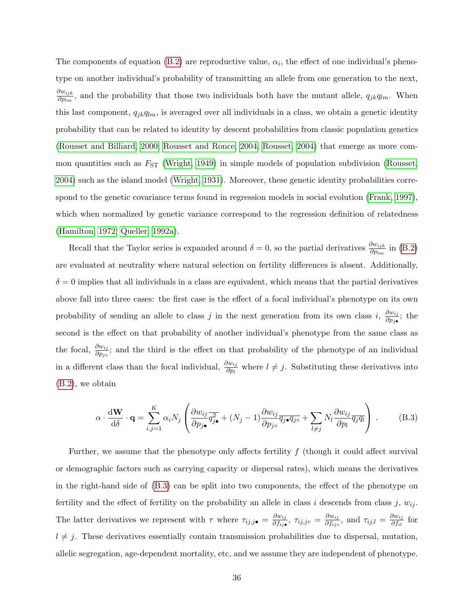The components of equation [\(B.2\)](#page-37-2) are reproductive value,  $\alpha_i$ , the effect of one individual's phenotype on another individual's probability of transmitting an allele from one generation to the next,  $\partial w_{ijk}$  $\frac{\partial w_{ijk}}{\partial p_{lm}}$ , and the probability that those two individuals both have the mutant allele,  $q_{jk}q_{lm}$ . When this last component,  $q_{jk}q_{lm}$ , is averaged over all individuals in a class, we obtain a genetic identity probability that can be related to identity by descent probabilities from classic population genetics [\(Rousset and Billiard, 2000;](#page-32-6) [Rousset and Ronce, 2004;](#page-32-8) [Rousset, 2004\)](#page-32-10) that emerge as more common quantities such as  $F_{ST}$  [\(Wright, 1949\)](#page-34-6) in simple models of population subdivision [\(Rousset,](#page-32-10) [2004\)](#page-32-10) such as the island model [\(Wright, 1931\)](#page-34-7). Moreover, these genetic identity probabilities correspond to the genetic covariance terms found in regression models in social evolution [\(Frank, 1997\)](#page-29-11), which when normalized by genetic variance correspond to the regression definition of relatedness [\(Hamilton, 1972;](#page-29-12) [Queller, 1992a\)](#page-31-13).

Recall that the Taylor series is expanded around  $\delta = 0$ , so the partial derivatives  $\frac{\partial w_{ijk}}{\partial p_{lm}}$  in [\(B.2\)](#page-37-2) are evaluated at neutrality where natural selection on fertility differences is absent. Additionally,  $\delta = 0$  implies that all individuals in a class are equivalent, which means that the partial derivatives above fall into three cases: the first case is the effect of a focal individual's phenotype on its own probability of sending an allele to class j in the next generation from its own class i,  $\frac{\partial w_{ij}}{\partial n_{ij}}$  $\frac{\partial w_{ij}}{\partial p_j}$ ; the second is the effect on that probability of another individual's phenotype from the same class as the focal,  $\frac{\partial w_{ij}}{\partial p_{j\circ}}$ ; and the third is the effect on that probability of the phenotype of an individual in a different class than the focal individual,  $\frac{\partial w_{ij}}{\partial p_l}$  where  $l \neq j$ . Substituting these derivatives into [\(B.2\)](#page-37-2), we obtain

<span id="page-38-0"></span>
$$
\alpha \cdot \frac{\mathrm{d} \mathbf{W}}{\mathrm{d} \delta} \cdot \mathbf{q} = \sum_{i,j=1}^{K} \alpha_i N_j \left( \frac{\partial w_{ij}}{\partial p_{j\bullet}} \overline{q_{j\bullet}^2} + (N_j - 1) \frac{\partial w_{ij}}{\partial p_{j\bullet}} \overline{q_{j\bullet} q_{j\circ}} + \sum_{l \neq j} N_l \frac{\partial w_{ij}}{\partial p_l} \overline{q_j q_l} \right) . \tag{B.3}
$$

Further, we assume that the phenotype only affects fertility  $f$  (though it could affect survival or demographic factors such as carrying capacity or dispersal rates), which means the derivatives in the right-hand side of [\(B.3\)](#page-38-0) can be split into two components, the effect of the phenotype on fertility and the effect of fertility on the probability an allele in class i descends from class j,  $w_{ij}$ . The latter derivatives we represent with  $\tau$  where  $\tau_{ij,j\bullet} = \frac{\partial w_{ij}}{\partial f_{ij\bullet}}$  $\frac{\partial w_{ij}}{\partial f_{ij\bullet}},\ \tau_{ij,j\circ}=\frac{\partial w_{ij}}{\partial f_{ij\circ}}$  $\frac{\partial w_{ij}}{\partial f_{ij}$ , and  $\tau_{ij,l} = \frac{\partial w_{ij}}{\partial f_{il}}$  $\frac{\partial w_{ij}}{\partial f_{il}}$  for  $l \neq j$ . These derivatives essentially contain transmission probabilities due to dispersal, mutation, allelic segregation, age-dependent mortality, etc, and we assume they are independent of phenotype.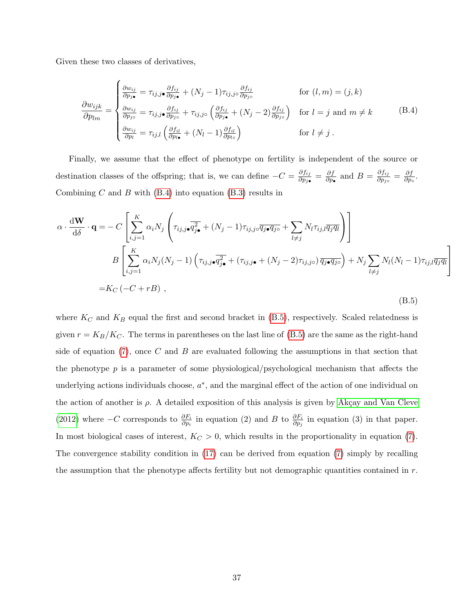Given these two classes of derivatives,

<span id="page-39-0"></span>
$$
\frac{\partial w_{ijk}}{\partial p_{lm}} = \begin{cases}\n\frac{\partial w_{ij}}{\partial p_{j\bullet}} = \tau_{ij,j\bullet} \frac{\partial f_{ij}}{\partial p_{j\bullet}} + (N_j - 1)\tau_{ij,j\circ} \frac{\partial f_{ij}}{\partial p_{j\circ}} & \text{for } (l, m) = (j, k) \\
\frac{\partial w_{ij}}{\partial p_{lm}} = \frac{\partial w_{ij}}{\partial p_{j\circ}} = \tau_{ij,j\bullet} \frac{\partial f_{ij}}{\partial p_{j\circ}} + \tau_{ij,j\circ} \left(\frac{\partial f_{ij}}{\partial p_{j\bullet}} + (N_j - 2)\frac{\partial f_{ij}}{\partial p_{j\circ}}\right) & \text{for } l = j \text{ and } m \neq k \\
\frac{\partial w_{ij}}{\partial p_l} = \tau_{ij,l} \left(\frac{\partial f_{il}}{\partial p_{l\bullet}} + (N_l - 1)\frac{\partial f_{il}}{\partial p_{l\circ}}\right) & \text{for } l \neq j\n\end{cases} (B.4)
$$

Finally, we assume that the effect of phenotype on fertility is independent of the source or destination classes of the offspring; that is, we can define  $-C = \frac{\partial f_{ij}}{\partial p_{ij}}$  $\frac{\partial f_{ij}}{\partial p_j}_{\bullet}} = \frac{\partial f}{\partial p_{\bullet}}$  $\frac{\partial f}{\partial p_{\bullet}}$  and  $B = \frac{\partial f_{ij}}{\partial p_{j}A}$  $\frac{\partial f_{ij}}{\partial p_{j\circ}}=\frac{\partial f}{\partial p_{\circ}}$  $\frac{\partial f}{\partial p_\circ}$ . Combining  $C$  and  $B$  with  $(B.4)$  into equation  $(B.3)$  results in

<span id="page-39-1"></span>
$$
\alpha \cdot \frac{d\mathbf{W}}{d\delta} \cdot \mathbf{q} = -C \left[ \sum_{i,j=1}^{K} \alpha_i N_j \left( \tau_{ij,j\bullet} \overline{q_{j\bullet}^2} + (N_j - 1) \tau_{ij,j\circ} \overline{q_{j\bullet} q_{j\circ}} + \sum_{l \neq j} N_l \tau_{ij,l} \overline{q_j q_l} \right) \right]
$$
  

$$
B \left[ \sum_{i,j=1}^{K} \alpha_i N_j (N_j - 1) \left( \tau_{ij,j\bullet} \overline{q_{j\bullet}^2} + (\tau_{ij,j\bullet} + (N_j - 2) \tau_{ij,j\circ}) \overline{q_{j\bullet} q_{j\circ}} \right) + N_j \sum_{l \neq j} N_l (N_l - 1) \tau_{ij,l} \overline{q_j q_l} \right]
$$

$$
= K_C \left( -C + rB \right) , \qquad (B.5)
$$

1  $\vert$ 

where  $K_C$  and  $K_B$  equal the first and second bracket in [\(B.5\)](#page-39-1), respectively. Scaled relatedness is given  $r = K_B/K_C$ . The terms in parentheses on the last line of [\(B.5\)](#page-39-1) are the same as the right-hand side of equation [\(7\)](#page-12-0), once  $C$  and  $B$  are evaluated following the assumptions in that section that the phenotype  $p$  is a parameter of some physiological/psychological mechanism that affects the underlying actions individuals choose,  $a^*$ , and the marginal effect of the action of one individual on the action of another is  $\rho$ . A detailed exposition of this analysis is given by Akçay and Van Cleve [\(2012\)](#page-27-2) where  $-C$  corresponds to  $\frac{\partial F_i}{\partial p_i}$  in equation (2) and B to  $\frac{\partial F_i}{\partial p_j}$  in equation (3) in that paper. In most biological cases of interest,  $K_C > 0$ , which results in the proportionality in equation [\(7\)](#page-12-0). The convergence stability condition in [\(17\)](#page-21-0) can be derived from equation [\(7\)](#page-12-0) simply by recalling the assumption that the phenotype affects fertility but not demographic quantities contained in  $r$ .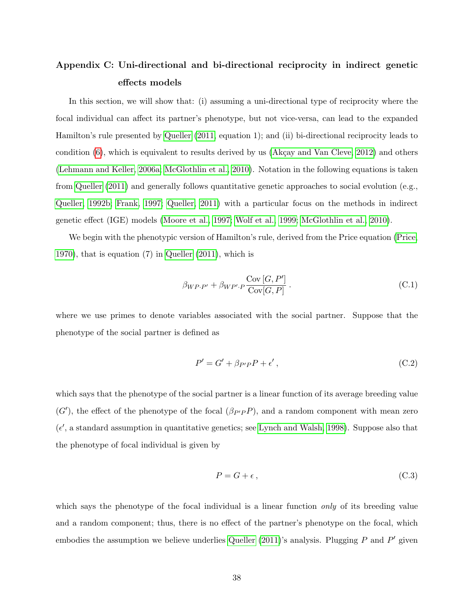## <span id="page-40-0"></span>Appendix C: Uni-directional and bi-directional reciprocity in indirect genetic effects models

In this section, we will show that: (i) assuming a uni-directional type of reciprocity where the focal individual can affect its partner's phenotype, but not vice-versa, can lead to the expanded Hamilton's rule presented by [Queller](#page-32-3) [\(2011,](#page-32-3) equation 1); and (ii) bi-directional reciprocity leads to condition  $(6)$ , which is equivalent to results derived by us (Akçay and Van Cleve, 2012) and others [\(Lehmann and Keller, 2006a;](#page-30-1) [McGlothlin et al., 2010\)](#page-30-2). Notation in the following equations is taken from [Queller](#page-32-3) [\(2011\)](#page-32-3) and generally follows quantitative genetic approaches to social evolution (e.g., [Queller, 1992b;](#page-31-8) [Frank, 1997;](#page-29-11) [Queller, 2011\)](#page-32-3) with a particular focus on the methods in indirect genetic effect (IGE) models [\(Moore et al., 1997;](#page-30-10) [Wolf et al., 1999;](#page-34-4) [McGlothlin et al., 2010\)](#page-30-2).

We begin with the phenotypic version of Hamilton's rule, derived from the Price equation [\(Price,](#page-31-6) [1970\)](#page-31-6), that is equation (7) in [Queller](#page-32-3) [\(2011\)](#page-32-3), which is

<span id="page-40-3"></span>
$$
\beta_{WP \cdot P'} + \beta_{WP' \cdot P} \frac{\text{Cov}[G, P']}{\text{Cov}[G, P]}.
$$
\n(C.1)

where we use primes to denote variables associated with the social partner. Suppose that the phenotype of the social partner is defined as

<span id="page-40-1"></span>
$$
P' = G' + \beta_{P'P}P + \epsilon',\tag{C.2}
$$

which says that the phenotype of the social partner is a linear function of its average breeding value  $(G')$ , the effect of the phenotype of the focal  $(\beta_{P'P}P)$ , and a random component with mean zero  $(\epsilon',$  a standard assumption in quantitative genetics; see [Lynch and Walsh, 1998\)](#page-30-11). Suppose also that the phenotype of focal individual is given by

<span id="page-40-2"></span>
$$
P = G + \epsilon \,,\tag{C.3}
$$

which says the phenotype of the focal individual is a linear function *only* of its breeding value and a random component; thus, there is no effect of the partner's phenotype on the focal, which embodies the assumption we believe underlies [Queller](#page-32-3)  $(2011)$ 's analysis. Plugging P and P' given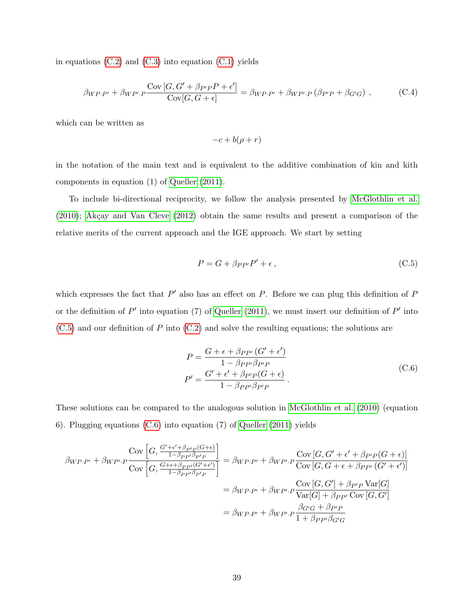in equations  $(C.2)$  and  $(C.3)$  into equation  $(C.1)$  yields

$$
\beta_{WP\cdot P'} + \beta_{WP'\cdot P} \frac{\text{Cov}[G, G' + \beta_{P'P}P + \epsilon']}{\text{Cov}[G, G + \epsilon]} = \beta_{WP\cdot P'} + \beta_{WP'\cdot P} (\beta_{P'P} + \beta_{G'G}), \tag{C.4}
$$

which can be written as

$$
-c + b(\rho + r)
$$

in the notation of the main text and is equivalent to the additive combination of kin and kith components in equation (1) of [Queller](#page-32-3) [\(2011\)](#page-32-3).

To include bi-directional reciprocity, we follow the analysis presented by [McGlothlin et al.](#page-30-2)  $(2010)$ ; Akçay and Van Cleve  $(2012)$  obtain the same results and present a comparison of the relative merits of the current approach and the IGE approach. We start by setting

<span id="page-41-0"></span>
$$
P = G + \beta_{PP'}P' + \epsilon, \qquad (C.5)
$$

which expresses the fact that  $P'$  also has an effect on P. Before we can plug this definition of  $P$ or the definition of  $P'$  into equation (7) of [Queller](#page-32-3) [\(2011\)](#page-32-3), we must insert our definition of  $P'$  into  $(C.5)$  and our definition of P into  $(C.2)$  and solve the resulting equations; the solutions are

$$
P = \frac{G + \epsilon + \beta_{PP'} (G' + \epsilon')}{1 - \beta_{PP'} \beta_{P'P}}
$$
  
\n
$$
P' = \frac{G' + \epsilon' + \beta_{P'P} (G + \epsilon)}{1 - \beta_{PP'} \beta_{P'P}}.
$$
\n(C.6)

<span id="page-41-1"></span>These solutions can be compared to the analogous solution in [McGlothlin et al.](#page-30-2) [\(2010\)](#page-30-2) (equation 6). Plugging equations [\(C.6\)](#page-41-1) into equation (7) of [Queller](#page-32-3) [\(2011\)](#page-32-3) yields

$$
\beta_{WP\cdot P'} + \beta_{WP'\cdot P} \frac{\text{Cov}\left[G, \frac{G' + \epsilon' + \beta_{P'P}(G + \epsilon)}{1 - \beta_{PP'}\beta_{P'P}}\right]}{\text{Cov}\left[G, \frac{G + \epsilon + \beta_{PP'}(G' + \epsilon')}{1 - \beta_{PP'}\beta_{P'P}}\right]} = \beta_{WP\cdot P'} + \beta_{WP'\cdot P} \frac{\text{Cov}\left[G, G' + \epsilon' + \beta_{PP'}(G + \epsilon)\right]}{\text{Cov}\left[G, G + \epsilon + \beta_{PP'}(G' + \epsilon')\right]}
$$

$$
= \beta_{WP\cdot P'} + \beta_{WP'\cdot P} \frac{\text{Cov}\left[G, G'\right] + \beta_{P'P}\text{Var}[G]}{\text{Var}[G] + \beta_{PP'}\text{Cov}\left[G, G'\right]}
$$

$$
= \beta_{WP\cdot P'} + \beta_{WP'\cdot P} \frac{\beta_{G'G} + \beta_{P'P}}{1 + \beta_{PP'}\beta_{G'G}}
$$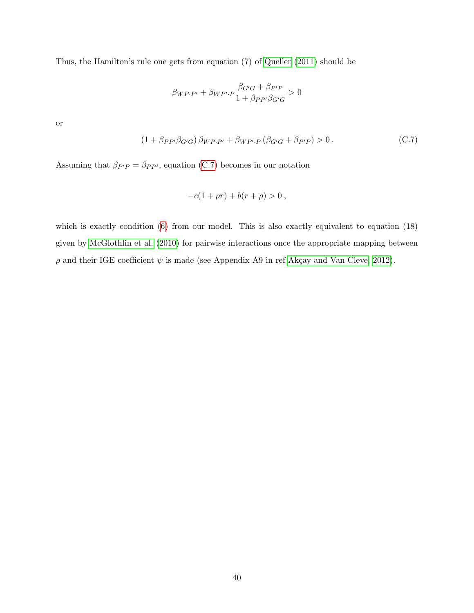Thus, the Hamilton's rule one gets from equation (7) of [Queller](#page-32-3) [\(2011\)](#page-32-3) should be

$$
\beta_{WP\cdot P'} + \beta_{WP'\cdot P} \frac{\beta_{G'G} + \beta_{P'P}}{1 + \beta_{PP'}\beta_{G'G}} > 0
$$

or

<span id="page-42-0"></span>
$$
(1 + \beta_{PP'}\beta_{G'G})\beta_{WP\cdot P'} + \beta_{WP'\cdot P}(\beta_{G'G} + \beta_{P'P}) > 0.
$$
 (C.7)

Assuming that  $\beta_{P'P} = \beta_{PP'}$ , equation [\(C.7\)](#page-42-0) becomes in our notation

$$
-c(1+\rho r) + b(r+\rho) > 0,
$$

which is exactly condition [\(6\)](#page-9-1) from our model. This is also exactly equivalent to equation (18) given by [McGlothlin et al.](#page-30-2) [\(2010\)](#page-30-2) for pairwise interactions once the appropriate mapping between  $\rho$  and their IGE coefficient  $\psi$  is made (see Appendix A9 in ref Akçay and Van Cleve, 2012).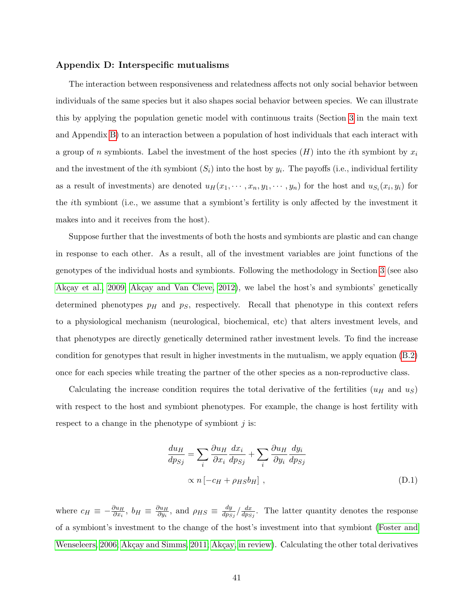#### <span id="page-43-0"></span>Appendix D: Interspecific mutualisms

The interaction between responsiveness and relatedness affects not only social behavior between individuals of the same species but it also shapes social behavior between species. We can illustrate this by applying the population genetic model with continuous traits (Section [3](#page-10-0) in the main text and Appendix [B\)](#page-37-0) to an interaction between a population of host individuals that each interact with a group of n symbionts. Label the investment of the host species  $(H)$  into the *i*th symbiont by  $x_i$ and the investment of the *i*th symbiont  $(S_i)$  into the host by  $y_i$ . The payoffs (i.e., individual fertility as a result of investments) are denoted  $u_H(x_1, \dots, x_n, y_1, \dots, y_n)$  for the host and  $u_{S_i}(x_i, y_i)$  for the ith symbiont (i.e., we assume that a symbiont's fertility is only affected by the investment it makes into and it receives from the host).

Suppose further that the investments of both the hosts and symbionts are plastic and can change in response to each other. As a result, all of the investment variables are joint functions of the genotypes of the individual hosts and symbionts. Following the methodology in Section [3](#page-10-0) (see also Akçay et al., 2009; Akçay and Van Cleve, 2012), we label the host's and symbionts' genetically determined phenotypes  $p_H$  and  $p_S$ , respectively. Recall that phenotype in this context refers to a physiological mechanism (neurological, biochemical, etc) that alters investment levels, and that phenotypes are directly genetically determined rather investment levels. To find the increase condition for genotypes that result in higher investments in the mutualism, we apply equation [\(B.2\)](#page-37-2) once for each species while treating the partner of the other species as a non-reproductive class.

Calculating the increase condition requires the total derivative of the fertilities  $(u_H$  and  $u_S)$ with respect to the host and symbiont phenotypes. For example, the change is host fertility with respect to a change in the phenotype of symbiont  $j$  is:

$$
\frac{du_H}{dp_{Sj}} = \sum_i \frac{\partial u_H}{\partial x_i} \frac{dx_i}{dp_{Sj}} + \sum_i \frac{\partial u_H}{\partial y_i} \frac{dy_i}{dp_{Sj}}\n\times n\left[-c_H + \rho_{HS}b_H\right],
$$
\n(D.1)

where  $c_H \equiv -\frac{\partial u_H}{\partial x_i}, b_H \equiv \frac{\partial u_H}{\partial y_i}$  $\frac{\partial u_H}{\partial y_i}$ , and  $\rho_{HS} \equiv \frac{dy}{dp_S}$  $\frac{dy}{dp_{Sj}}/\frac{dx}{dp_S}$  $\frac{dx}{dps_j}$ . The latter quantity denotes the response of a symbiont's investment to the change of the host's investment into that symbiont [\(Foster and](#page-28-2) [Wenseleers, 2006;](#page-28-2) Akçay and Simms, 2011; Akçay, in review). Calculating the other total derivatives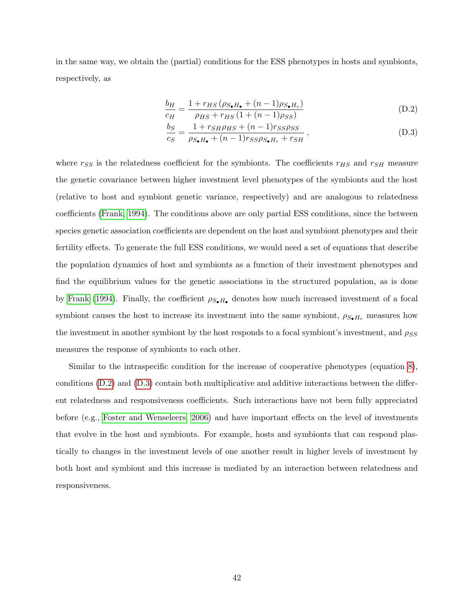in the same way, we obtain the (partial) conditions for the ESS phenotypes in hosts and symbionts, respectively, as

$$
\frac{b_H}{c_H} = \frac{1 + r_{HS} \left( \rho_{S_{\bullet}H_{\bullet}} + (n-1)\rho_{S_{\bullet}H_{\circ}} \right)}{\rho_{HS} + r_{HS} \left( 1 + (n-1)\rho_{SS} \right)}\tag{D.2}
$$

<span id="page-44-1"></span><span id="page-44-0"></span>
$$
\frac{b_S}{c_S} = \frac{1 + r_{SH} \rho_{HS} + (n-1) r_{SS} \rho_{SS}}{\rho_{S_{\bullet} H_{\bullet}} + (n-1) r_{SS} \rho_{S_{\bullet} H_{\circ}} + r_{SH}},
$$
(D.3)

where  $r_{SS}$  is the relatedness coefficient for the symbionts. The coefficients  $r_{HS}$  and  $r_{SH}$  measure the genetic covariance between higher investment level phenotypes of the symbionts and the host (relative to host and symbiont genetic variance, respectively) and are analogous to relatedness coefficients [\(Frank, 1994\)](#page-28-12). The conditions above are only partial ESS conditions, since the between species genetic association coefficients are dependent on the host and symbiont phenotypes and their fertility effects. To generate the full ESS conditions, we would need a set of equations that describe the population dynamics of host and symbionts as a function of their investment phenotypes and find the equilibrium values for the genetic associations in the structured population, as is done by [Frank](#page-28-12) [\(1994\)](#page-28-12). Finally, the coefficient  $\rho_{S\bullet H\bullet}$  denotes how much increased investment of a focal symbiont causes the host to increase its investment into the same symbiont,  $\rho_{S_{\bullet}H_{\circ}}$  measures how the investment in another symbiont by the host responds to a focal symbiont's investment, and  $\rho_{SS}$ measures the response of symbionts to each other.

Similar to the intraspecific condition for the increase of cooperative phenotypes (equation [8\)](#page-13-0), conditions [\(D.2\)](#page-44-0) and [\(D.3\)](#page-44-1) contain both multiplicative and additive interactions between the different relatedness and responsiveness coefficients. Such interactions have not been fully appreciated before (e.g., [Foster and Wenseleers, 2006\)](#page-28-2) and have important effects on the level of investments that evolve in the host and symbionts. For example, hosts and symbionts that can respond plastically to changes in the investment levels of one another result in higher levels of investment by both host and symbiont and this increase is mediated by an interaction between relatedness and responsiveness.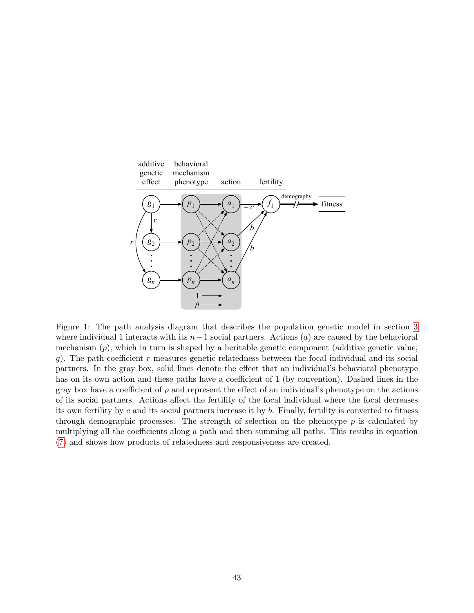

<span id="page-45-0"></span>Figure 1: The path analysis diagram that describes the population genetic model in section [3](#page-10-0) where individual 1 interacts with its  $n-1$  social partners. Actions (a) are caused by the behavioral mechanism  $(p)$ , which in turn is shaped by a heritable genetic component (additive genetic value, g). The path coefficient r measures genetic relatedness between the focal individual and its social partners. In the gray box, solid lines denote the effect that an individual's behavioral phenotype has on its own action and these paths have a coefficient of 1 (by convention). Dashed lines in the gray box have a coefficient of  $\rho$  and represent the effect of an individual's phenotype on the actions of its social partners. Actions affect the fertility of the focal individual where the focal decreases its own fertility by c and its social partners increase it by  $b$ . Finally, fertility is converted to fitness through demographic processes. The strength of selection on the phenotype  $p$  is calculated by multiplying all the coefficients along a path and then summing all paths. This results in equation [\(7\)](#page-12-0) and shows how products of relatedness and responsiveness are created.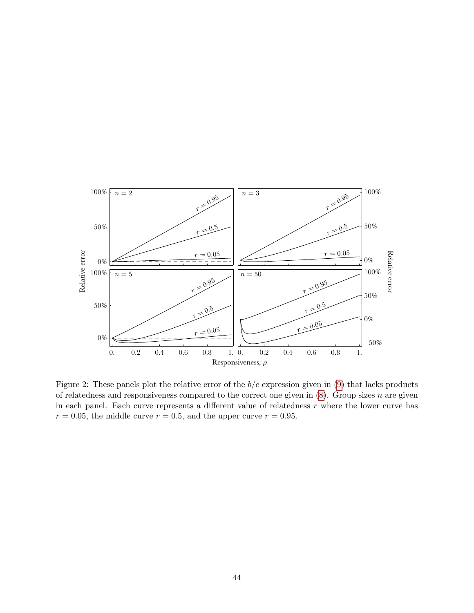

<span id="page-46-0"></span>Figure 2: These panels plot the relative error of the  $b/c$  expression given in [\(9\)](#page-14-0) that lacks products of relatedness and responsiveness compared to the correct one given in  $(8)$ . Group sizes n are given in  $(8)$ in each panel. Each curve represents a different value of relatedness r where the lower curve has  $r = 0.05$ , the middle curve  $r = 0.5$ , and the upper curve  $r = 0.95$ .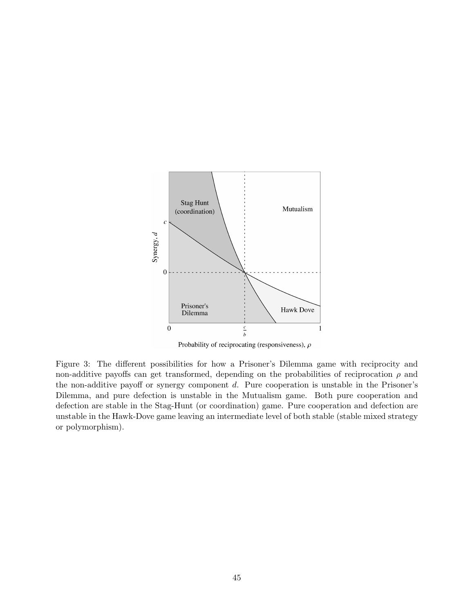

Probability of reciprocating (responsiveness),  $\rho$ 

<span id="page-47-0"></span>Figure 3: The different possibilities for how a Prisoner's Dilemma game with reciprocity and non-additive payoffs can get transformed, depending on the probabilities of reciprocation  $\rho$  and the non-additive payoff or synergy component d. Pure cooperation is unstable in the Prisoner's Dilemma, and pure defection is unstable in the Mutualism game. Both pure cooperation and defection are stable in the Stag-Hunt (or coordination) game. Pure cooperation and defection are unstable in the Hawk-Dove game leaving an intermediate level of both stable (stable mixed strategy or polymorphism).